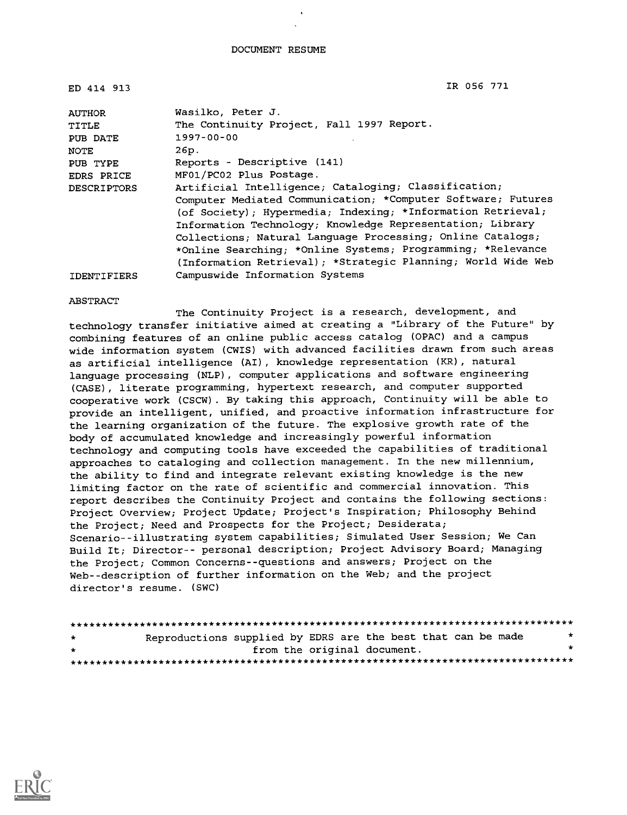| ED 414 913         | IR 056 771                                                   |
|--------------------|--------------------------------------------------------------|
| <b>AUTHOR</b>      | Wasilko, Peter J.                                            |
| TITLE              | The Continuity Project, Fall 1997 Report.                    |
| PUB DATE           | $1997 - 00 - 00$                                             |
| NOTE               | 26p.                                                         |
| PUB TYPE           | Reports - Descriptive (141)                                  |
| EDRS PRICE         | MF01/PC02 Plus Postage.                                      |
| <b>DESCRIPTORS</b> | Artificial Intelligence; Cataloging; Classification;         |
|                    | Computer Mediated Communication; *Computer Software; Futures |
|                    | (of Society); Hypermedia; Indexing; *Information Retrieval;  |
|                    | Information Technology; Knowledge Representation; Library    |
|                    | Collections; Natural Language Processing; Online Catalogs;   |
|                    | *Online Searching; *Online Systems; Programming; *Relevance  |
|                    | (Information Retrieval); *Strategic Planning; World Wide Web |
| <b>IDENTIFIERS</b> | Campuswide Information Systems                               |

#### ABSTRACT

The Continuity Project is a research, development, and technology transfer initiative aimed at creating a "Library of the Future" by combining features of an online public access catalog (OPAC) and a campus wide information system (CWIS) with advanced facilities drawn from such areas as artificial intelligence (AI), knowledge representation (KR), natural language processing (NLP), computer applications and software engineering (CASE), literate programming, hypertext research, and computer supported cooperative work (CSCW). By taking this approach, Continuity will be able to provide an intelligent, unified, and proactive information infrastructure for the learning organization of the future. The explosive growth rate of the body of accumulated knowledge and increasingly powerful information technology and computing tools have exceeded the capabilities of traditional approaches to cataloging and collection management. In the new millennium, the ability to find and integrate relevant existing knowledge is the new limiting factor on the rate of scientific and commercial innovation. This report describes the Continuity Project and contains the following sections: Project Overview; Project Update; Project's Inspiration; Philosophy Behind the Project; Need and Prospects for the Project; Desiderata; Scenario--illustrating system capabilities; Simulated User Session; We Can Build It; Director-- personal description; Project Advisory Board; Managing the Project; Common Concerns--questions and answers; Project on the Web--description of further information on the Web; and the project director's resume. (SWC)

| $\star$ | Reproductions supplied by EDRS are the best that can be made |                             |  |  | $\star$ |  |
|---------|--------------------------------------------------------------|-----------------------------|--|--|---------|--|
| $\star$ |                                                              | from the original document. |  |  | $\star$ |  |
|         |                                                              |                             |  |  |         |  |

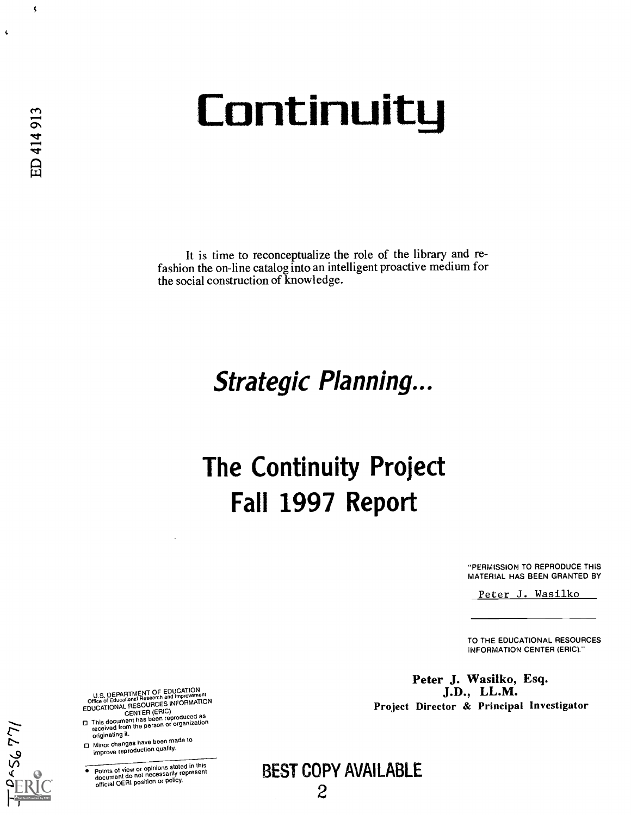# **Continuity**

It is time to reconceptualize the role of the library and refashion the on-line catalog into an intelligent proactive medium for the social construction of knowledge.

# Strategic Planning...

# The Continuity Project Fall 1997 Report

"PERMISSION TO REPRODUCE THIS MATERIAL HAS BEEN GRANTED BY

Peter J. Wasilko

TO THE EDUCATIONAL RESOURCES INFORMATION CENTER (ERIC)."

Peter J. Wasilko, Esq.<br>J.D., LL.M. Project Director & Principal Investigator

U.S. DEPARTMENT OF EDUCATION<br>Office of Educational Research and Improvement<br>NUGLIC ON ALL RESOURCES INFORMATION

- EDUCATIONAL CENTER (ERIC)<br>
CENTER (ERIC)<br>
received from the person or organization<br>
originating it.<br>
O Minor changes have been made to<br>  $\Box$  Minor changes have been made to
- $\square$  Minor changes have been made to improve reproduction quality.

142954

Points of view or opinions stated in this document do not necessarily represent official OERI position or policy.

BEST COPY AVAILABLE

 $\left\langle \right\rangle$ 

 $\pmb{\zeta}$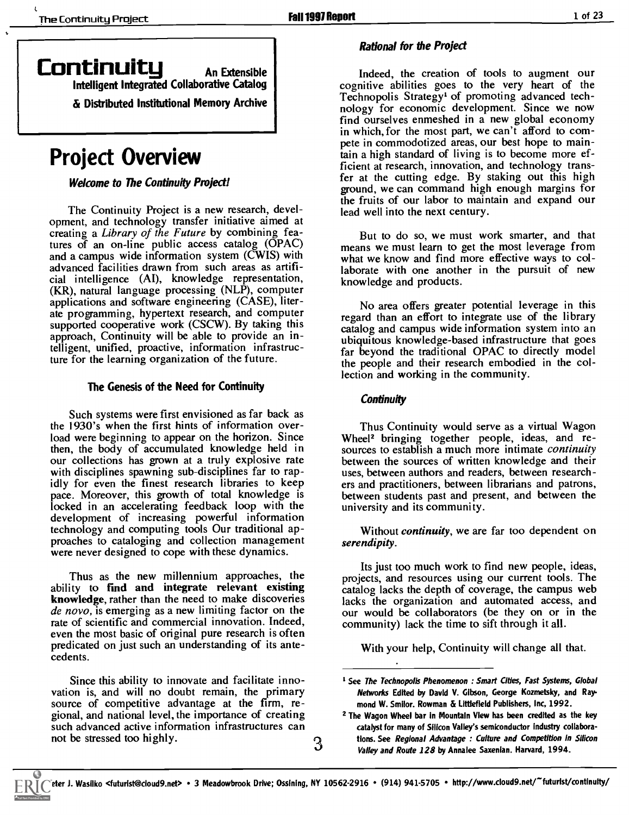### Continuity An Extensible

Intelligent Integrated Collaborative Catalog

& Distributed Institutional Memory Archive

# Project Overview

Welcome to The Continuity Project!

The Continuity Project is a new research, development, and technology transfer initiative aimed at creating a Library of the Future by combining features of an on-line public access catalog (OPAC) and a campus wide information system (CWIS) with advanced facilities drawn from such areas as artificial intelligence (AI), knowledge representation, (KR), natural language processing (NLP), computer applications and software engineering (CASE), literate programming, hypertext research, and computer supported cooperative work (CSCW). By taking this approach, Continuity will be able to provide an intelligent, unified, proactive, information infrastructure for the learning organization of the future.

#### The Genesis of the Need for Continuity

Such systems were first envisioned as far back as the 1930's when the first hints of information overload were beginning to appear on the horizon. Since then, the body of accumulated knowledge held in our collections has grown at a truly explosive rate with disciplines spawning sub-disciplines far to rapidly for even the finest research libraries to keep pace. Moreover, this growth of total knowledge is locked in an accelerating feedback loop with the development of increasing powerful information technology and computing tools Our traditional approaches to cataloging and collection management were never designed to cope with these dynamics.

Thus as the new millennium approaches, the ability to find and integrate relevant existing knowledge, rather than the need to make discoveries lacks the organization and automated access, and de novo, is emerging as a new limiting factor on the rate of scientific and commercial innovation. Indeed, even the most basic of original pure research is often predicated on just such an understanding of its antecedents.

Since this ability to innovate and facilitate inno- vation is, and will no doubt remain, the primary source of competitive advantage at the firm, regional, and national level, the importance of creating such advanced active information infrastructures can not be stressed too highly.

#### Rational for the Project

Indeed, the creation of tools to augment our cognitive abilities goes to the very heart of the Technopolis Strategy' of promoting advanced technology for economic development. Since we now find ourselves enmeshed in a new global economy in which, for the most part, we can't afford to compete in commodotized areas, our best hope to maintain a high standard of living is to become more ef-<br>ficient at research, innovation, and technology transfer at the cutting edge. By staking out this high ground, we can command high enough margins for the fruits of our labor to maintain and expand our lead well into the next century.

But to do so, we must work smarter, and that means we must learn to get the most leverage from what we know and find more effective ways to collaborate with one another in the pursuit of new knowledge and products.

No area offers greater potential leverage in this regard than an effort to integrate use of the library catalog and campus wide information system into an ubiquitous knowledge-based infrastructure that goes far beyond the traditional OPAC to directly model the people and their research embodied in the collection and working in the community.

#### **Continuity**

Thus Continuity would serve as a virtual Wagon Wheel<sup>2</sup> bringing together people, ideas, and resources to establish a much more intimate *continuity* between the sources of written knowledge and their uses, between authors and readers, between researchers and practitioners, between librarians and patrons, between students past and present, and between the university and its community.

Without *continuity*, we are far too dependent on serendipity.

Its just too much work to find new people, ideas, projects, and resources using our current tools. The catalog lacks the depth of coverage, the campus web our would be collaborators (be they on or in the community) lack the time to sift through it all.

With your help, Continuity will change all that.

<sup>&</sup>lt;sup>1</sup> See The Technopolis Phenomenon : Smart Cities, Fast Systems, Global Networks Edited by David V. Gibson, George Kozmetsky, and Ray. mond W. Smiior. Rowman & Littlefield Publishers, Inc, 1992.

<sup>2</sup> The Wagon Wheel bar in Mountain View has been credited as the key catalyst for many of Silicon Valley's semiconductor industry collaborations. See Regional Advantage : Culture and Competition in Silicon Valley and Route 128 by Annalee Saxenlan. Harvard, 1994.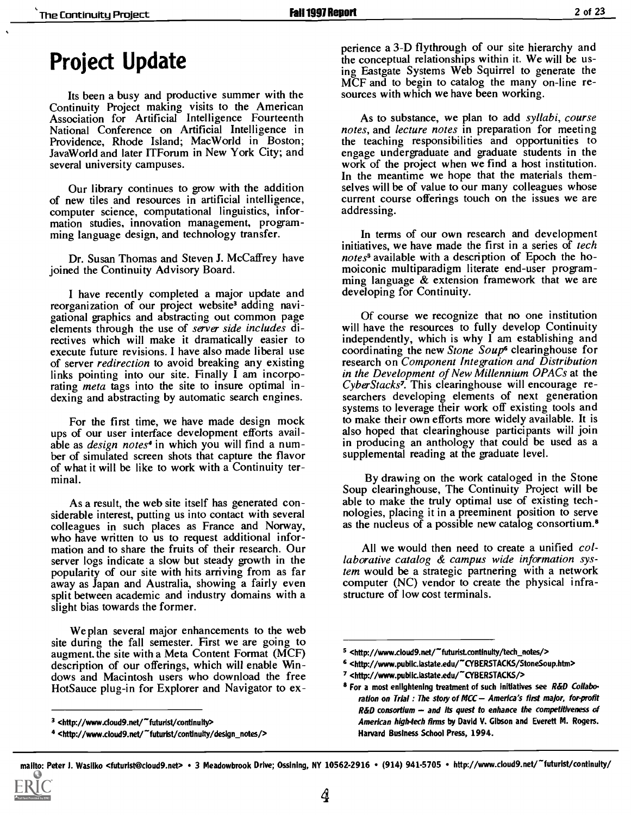### Project Update

Its been a busy and productive summer with the Continuity Project making visits to the American Association for Artificial Intelligence Fourteenth National Conference on Artificial Intelligence in Providence, Rhode Island; MacWorld in Boston; JavaWorid and later ITForum in New York City; and several university campuses.

Our library continues to grow with the addition of new tiles and resources in artificial intelligence, computer science, computational linguistics, information studies, innovation management, programming language design, and technology transfer.

Dr. Susan Thomas and Steven J. McCaffrey have joined the Continuity Advisory Board.

I have recently completed a major update and reorganization of our project website<sup>3</sup> adding navigational graphics and abstracting out common page elements through the use of *server side includes* di-<br>rectives which will make it dramatically easier to execute future revisions. I have also made liberal use of server redirection to avoid breaking any existing links pointing into our site. Finally  $\overline{I}$  am incorporating *meta* tags into the site to insure optimal indexing and abstracting by automatic search engines.

For the first time, we have made design mock ups of our user interface development efforts available as design notes<sup>4</sup> in which you will find a number of simulated screen shots that capture the flavor of what it will be like to work with a Continuity terminal.

As a result, the web site itself has generated considerable interest, putting us into contact with several colleagues in such places as France and Norway, who have written to us to request additional information and to share the fruits of their research. Our server logs indicate a slow but steady growth in the popularity of our site with hits arriving from as far away as Japan and Australia, showing a fairly even split between academic and industry domains with a slight bias towards the former.

We plan several major enhancements to the web site during the fall semester. First we are going to augment. the site with a Meta Content Format (MCF) description of our offerings, which will enable Windows and Macintosh users who download the free HotSauce plug-in for Explorer and Navigator to experience a 3-D flythrough of our site hierarchy and the conceptual relationships within it. We will be using Eastgate Systems Web Squirrel to generate the MCF and to begin to catalog the many on-line resources with which we have been working.

As to substance, we plan to add syllabi, course notes, and *lecture notes* in preparation for meeting the teaching responsibilities and opportunities to engage undergraduate and graduate students in the work of the project when we find a host institution. In the meantime we hope that the materials themselves will be of value to our many colleagues whose current course offerings touch on the issues we are addressing.

In terms of our own research and development initiatives, we have made the first in a series of tech notes<sup>s</sup> available with a description of Epoch the homoiconic multiparadigm literate end-user programming language & extension framework that we are developing for Continuity.

Of course we recognize that no one institution will have the resources to fully develop Continuity independently, which is why I am establishing and coordinating the new Stone Soup<sup>6</sup> clearinghouse for research on Component Integration and Distribution in the Development of New Millennium OPACs at the CyberStacks7. This clearinghouse will encourage researchers developing elements of next generation systems to leverage their work off existing tools and to make their own efforts more widely available. It is also hoped that clearinghouse participants will join in producing an anthology that could be used as a supplemental reading at the graduate level.

By drawing on the work cataloged in the Stone Soup clearinghouse, The Continuity Project will be able to make the truly optimal use of existing technologies, placing it in a preeminent position to serve as the nucleus of a possible new catalog consortium.8

All we would then need to create a unified collaborative catalog & campus wide information system would be a strategic partnering with a network computer (NC) vendor to create the physical infrastructure of low cost terminals.

 $3$  <http://www.cloud9.net/"futurist/continuity>

<sup>4 &</sup>lt;http://www.cloud9.net/"futurist/continuity/design\_notes/>

<sup>5 &</sup>lt;http://www.cloud9.net/"futurist.continuity/tech\_notes/>

<sup>6 &</sup>lt;http://www.public.lastate.edu/"CYBERSTACKS/StoneSoup.htm>

<sup>7 &</sup>lt;http://www.public.lastate.edu/~CYBERSTACKS/>

<sup>&</sup>lt;sup>8</sup> For a most enlightening treatment of such initiatives see R&D Collaboration on Trial : The story of MCC - America's first major, for-profit  $R\&D$  consortium  $-$  and its quest to enhance the competitiveness of American high-tech firms by David V. Gibson and Everett M. Rogers. Harvard Business School Press, 1994.

mallto: Peter J. Wasilko <futurist@cloud9.net> • 3 Meadowbrook Drive; Ossining, NY 10562-2916 • (914) 941-5705 • http://www.cloud9.net/~futurist/continuity/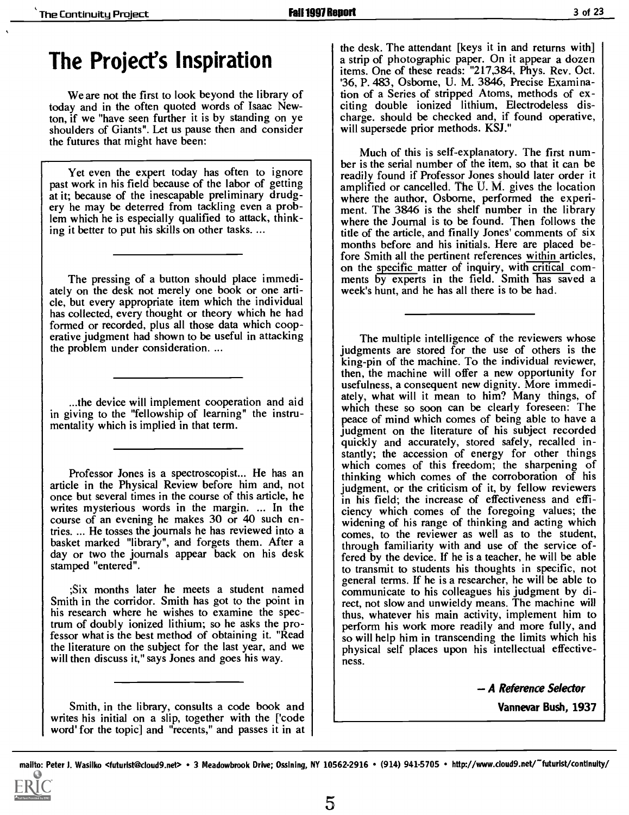## The Project's Inspiration

We are not the first to look beyond the library of today and in the often quoted words of Isaac Newton, if we "have seen further it is by standing on ye shoulders of Giants". Let us pause then and consider the futures that might have been:

Yet even the expert today has often to ignore past work in his field because of the labor of getting ery he may be deterred from tackling even a problem which he is especially qualified to attack, thinking it better to put his skills on other tasks....

The pressing of a button should place immediately on the desk not merely one book or one article, but every appropriate item which the individual has collected, every thought or theory which he had formed or recorded, plus all those data which cooperative judgment had shown to be useful in attacking the problem under consideration. ...

in giving to the "fellowship of learning" the instrumentality which is implied in that term.

article in the Physical Review before him and, not once but several times in the course of this article, he writes mysterious words in the margin. ... In the course of an evening he makes 30 or 40 such encourse of an evening he makes 30 or 40 such en-<br>tries. ... He tosses the journals he has reviewed into a comes, to the reviewer as well as to the student,<br>basket marked "library", and forgets them. After a through familia day or two the journals appear back on his desk stamped "entered".

;Six months later he meets a student named Smith in the corridor. Smith has got to the point in his research where he wishes to examine the spectrum of doubly ionized lithium; so he asks the professor what is the best method of obtaining it. "Read the literature on the subject for the last year, and we will then discuss it," says Jones and goes his way.

Smith, in the library, consults a code book and writes his initial on a slip, together with the ['code word' for the topic] and "recents," and passes it in at

the desk. The attendant [keys it in and returns with] a strip of photographic paper. On it appear a dozen items. One of these reads: "217,384, Phys. Rev. Oct. '36, P. 483, Osborne, U. M. 3846, Precise Examination of a Series of stripped Atoms, methods of exciting double ionized lithium, Electrodeless discharge. should be checked and, if found operative, will supersede prior methods. KSJ."

Much of this is self-explanatory. The first number is the serial number of the item, so that it can be readily found if Professor Jones should later order it amplified or cancelled. The U. M. gives the location where the author, Osborne, performed the experiment. The 3846 is the shelf number in the library where the Journal is to be found. Then follows the title of the article, and finally Jones' comments of six months before and his initials. Here are placed before Smith all the pertinent references within articles, on the specific matter of inquiry, with critical com-<br>ments by experts in the field. Smith has saved a week's hunt, and he has all there is to be had.

...the device will implement cooperation and aid  $\left| \begin{array}{c} \end{array} \right|$  at the second case are not be also also be also at  $\left| \begin{array}{c} \end{array} \right|$  at  $\left| \begin{array}{c} \end{array} \right|$  at  $\left| \begin{array}{c} \end{array} \right|$  at  $\left| \begin{array}{c} \end{array} \right|$  at  $\left|$ Professor Jones is a spectroscopist... He has an which comes of this freedom; the sharpening of Professor Jones is a spectroscopist... He has an university of the corroboration of his The multiple intelligence of the reviewers whose judgments are stored for the use of others is the king-pin of the machine. To the individual reviewer, then, the machine will offer a new opportunity for usefulness, a consequent new dignity. More immediwhich these so soon can be clearly fore seen: The peace of mind which comes of being able to have a judgment on the literature of his subject recorded quickly and accurately, stored safely, recalled instantly; the accession of energy for other things thinking which comes of the corroboration of his judgment, or the criticism of it, by fellow reviewers in his field; the increase of effectiveness and efficiency which comes of the foregoing values; the comes, to the reviewer as well as to the student, through familiarity with and use of the service offered by the device. If he is a teacher, he will be able to transmit to students his thoughts in specific, not general terms. If he is a researcher, he will be able to communicate to his colleagues his judgment by direct, not slow and unwieldy means. The machine will thus, whatever his main activity, implement him to perform his work more readily and more fully, and so will help him in transcending the limits which his physical self places upon his intellectual effectiveness.

A Reference Selector

Vannevar Bush, 1937

mailto: Peter J. Wasilko <futurist@cloud9.net> · 3 Meadowbrook Drive; Ossining, NY 10562-2916 · (914) 941-5705 · http://www.cloud9.net/~futurist/continuity/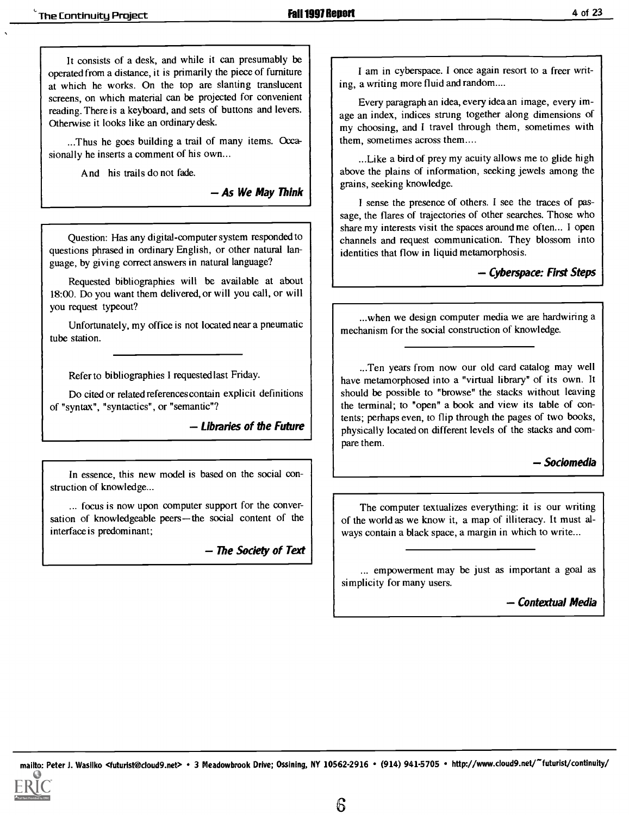It consists of a desk, and while it can presumably be operated from a distance, it is primarily the piece of furniture at which he works. On the top are slanting translucent screens, on which material can be projected for convenient reading. There is a keyboard, and sets of buttons and levers. Othenvise it looks like an ordinary desk.

...Thus he goes building a trail of many items. Occasionally he inserts a comment of his own...

And his trails do not fade.

As We May Think

Question: Has any digital-computer system responded to questions phrased in ordinary English, or other natural language, by giving correct answers in natural language?

Requested bibliographies will be available at about 18:00. Do you want them delivered, or will you call, or will you request typeout?

Unfortunately, my office is not located near a pneumatic tube station.

Refer to bibliographies I requested last Friday.

Do cited or related references contain explicit definitions of "syntax", "syntactics", or "semantic"?

Libraries of the Future

In essence, this new model is based on the social construction of knowledge...

... focus is now upon computer support for the conversation of knowledgeable peers-the social content of the interface is predominant;

- The Society of Text

I am in cyberspace. I once again resort to a freer writing, a writing more fluid and random....

Every paragraph an idea, every idea an image, every image an index, indices strung together along dimensions of my choosing, and I travel through them, sometimes with them, sometimes across them....

...Like a bird of prey my acuity allows me to glide high above the plains of information, seeking jewels among the grains, seeking knowledge.

I sense the presence of others. I see the traces of passage, the flares of trajectories of other searches. Those who share my interests visit the spaces around me often... I open channels and request communication. They blossom into identities that flow in liquid metamorphosis.

- Cyberspace: First Steps

...when we design computer media we are hardwiring a mechanism for the social construction of knowledge.

...Ten years from now our old card catalog may well have metamorphosed into a "virtual library" of its own. It should be possible to "browse" the stacks without leaving the terminal; to "open" a book and view its table of contents; perhaps even, to flip through the pages of two books, physically located on different levels of the stacks and compare them.

- Sociomedia

The computer textualizes everything: it is our writing of the world as we know it, a map of illiteracy. It must always contain a black space, a margin in which to write...

... empowerment may be just as important a goal as simplicity for many users.

- Contextual Media

mailto: Peter J. Wasilko <futurist@cloud9.net> • 3 Meadowbrook Drive; Ossining, NY 10562-2916 • (914) 941-5705 • http://www.cloud9.net/~futurist/continuity/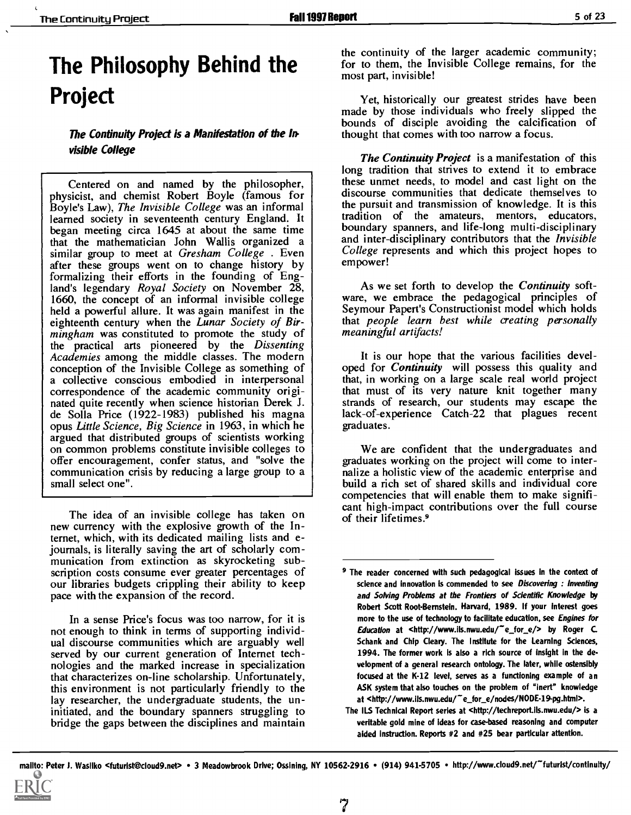# The Philosophy Behind the Project

The Continuity Project is a Manifestation of the Invisible College

Centered on and named by the philosopher, these unmet needs, to model and cast light on the physicist, and chemist Robert Boyle (famous for discourse communities that dedicate themselves to Boyle's Law), The Invisible College was an informal learned society in seventeenth century England. It began meeting circa 1645 at about the same time that the mathematician John Wallis organized a similar group to meet at Gresham College. Even after these groups went on to change history by formalizing their efforts in the founding of England's legendary Royal Society on November 28, 1660, the concept of an informal invisible college held a powerful allure. It was again manifest in the eighteenth century when the *Lunar Society of Bir-* mingham was constituted to promote the study of the practical arts pioneered by the Dissenting Academies among the middle classes. The modern conception of the Invisible College as something of a collective conscious embodied in interpersonal correspondence of the academic community originated quite recently when science historian Derek J. de Solla Price (1922-1983) published his magna opus Little Science, Big Science in 1963, in which he argued that distributed groups of scientists working on common problems constitute invisible colleges to offer encouragement, confer status, and "solve the communication crisis by reducing a large group to a small select one".

The idea of an invisible college has taken on new currency with the explosive growth of the Internet, which, with its dedicated mailing lists and ejournals, is literally saving the art of scholarly com- munication from extinction as skyrocketing subscription costs consume ever greater percentages of our libraries budgets crippling their ability to keep pace with the expansion of the record.

In a sense Price's focus was too narrow, for it is not enough to think in terms of supporting individual discourse communities which are arguably well served by our current generation of Internet technologies and the marked increase in specialization that characterizes on-line scholarship. Unfortunately, this environment is not particularly friendly to the lay researcher, the undergraduate students, the uninitiated, and the boundary spanners struggling to bridge the gaps between the disciplines and maintain the continuity of the larger academic community; for to them, the Invisible College remains, for the most part, invisible!

Yet, historically our greatest strides have been<br>made by those individuals who freely slipped the bounds of disciple avoiding the calcification of thought that comes with too narrow a focus.

The Continuity Project is a manifestation of this long tradition that strives to extend it to embrace these unmet needs, to model and cast light on the the pursuit and transmission of knowledge. It is this tradition of the amateurs, mentors, educators, boundary spanners, and life-long multi-disciplinary and inter-disciplinary contributors that the Invisible College represents and which this project hopes to empower!

As we set forth to develop the *Continuity* soft-<br>ware, we embrace the pedagogical principles of Seymour Papert's Constructionist model which holds that people learn best while creating personally meaningful artifacts!

It is our hope that the various facilities developed for *Continuity* will possess this quality and that, in working on a large scale real world project that must of its very nature knit together many strands of research, our students may escape the lack-of-experience Catch-22 that plagues recent graduates.

We are confident that the undergraduates and graduates working on the project will come to internalize a holistic view of the academic enterprise and build a rich set of shared skills and individual core competencies that will enable them to make significant high-impact contributions over the full course of their lifetimes.9

<sup>&</sup>lt;sup>9</sup> The reader concerned with such pedagogical issues in the context of science and innovation is commended to see Discovering : Inventing and Solving Problems at the Frontiers of Scientific Knowledge by Robert Scott Root-Bernstein. Harvard, 1989. If your interest goes more to the use of technology to facilitate education, see Engines for Education at <http://www.ils.nwu.edu/"e\_for\_e/> by Roger C. Schank and Chip Cleary. The Institute for the Learning Sciences, 1994. The former work is also a rich source of insight in the development of a general research ontology. The later, while ostensibly focused at the K-12 level, serves as a functioning example of an ASK system that also touches on the problem of "Inert" knowledge at <http://www.ils.nwu.edu/"e for e/nodes/NODE-19-pg.html>.

The ILS Technical Report series at <http://techreport.ils.nwu.edu/> is a veritable gold mine of ideas for case-based reasoning and computer aided instruction. Reports #2 and #25 bear particular attention.

mailto: Peter J. Wasilko <futurist@cloud9.net> • 3 Meadowbrook Drive; Ossining, NY 10562-2916 • (914) 941-5705 • http://www.cloud9.net/~futurist/continuity/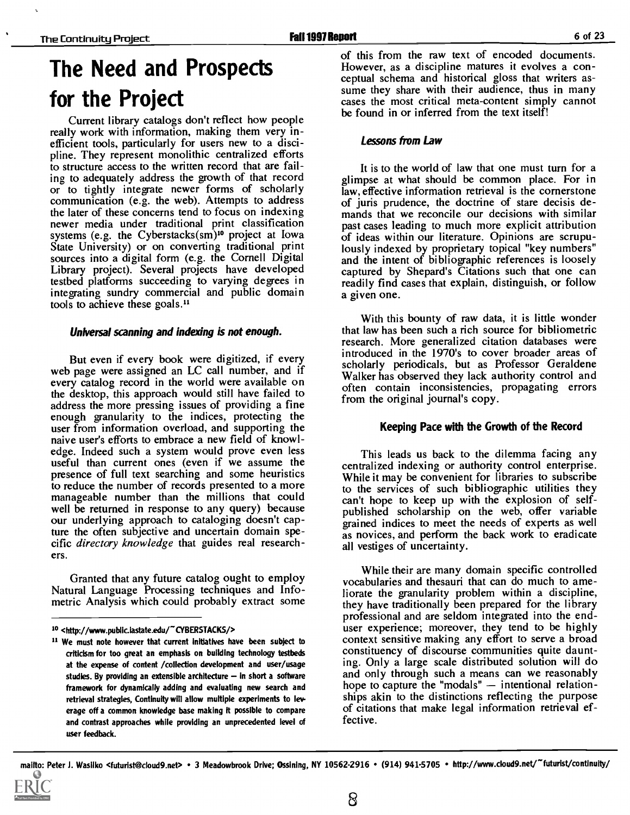# The Need and Prospects for the Project

Current library catalogs don't reflect how people really work with information, making them very inefficient tools, particularly for users new to a discipline. They represent monolithic centralized efforts to structure access to the written record that are failing to adequately address the growth of that record or to tightly integrate newer forms of scholarly communication (e.g. the web). Attempts to address the later of these concerns tend to focus on indexing newer media under traditional print classification systems (e.g. the Cyberstacks(sm)<sup>10</sup> project at Iowa State University) or on converting traditional print sources into a digital form (e.g. the Cornell Digital Library project). Several projects have developed testbed platforms succeeding to varying degrees in integrating sundry commercial and public domain tools to achieve these goals."

#### Universal scanning and indexing is not enough.

But even if every book were digitized, if every web page were assigned an LC call number, and if every catalog record in the world were available on the desktop, this approach would still have failed to address the more pressing issues of providing a fine enough granularity to the indices, protecting the user from information overload, and supporting the naive user's efforts to embrace a new field of knowledge. Indeed such a system would prove even less useful than current ones (even if we assume the presence of full text searching and some heuristics to reduce the number of records presented to a more<br>manageable number than the millions that could<br>can't hope to keep up with the explosion of selfwell be returned in response to any query) because our underlying approach to cataloging doesn't capture the often subjective and uncertain domain specific directory knowledge that guides real researchers.

Granted that any future catalog ought to employ Natural Language Processing techniques and Infometric Analysis which could probably extract some of this from the raw text of encoded documents. However, as a discipline matures it evolves a conceptual schema and historical gloss that writers assume they share with their audience, thus in many cases the most critical meta-content simply cannot be found in or inferred from the text itself!

#### Lessons from Law

It is to the world of law that one must turn for a glimpse at what should be common place. For in law, effective information retrieval is the cornerstone of juris prudence, the doctrine of stare decisis demands that we reconcile our decisions with similar past cases leading to much more explicit attribution of ideas within our literature. Opinions are scrupulously indexed by proprietary topical "key numbers" and the intent of bibliographic references is loosely captured by Shepard's Citations such that one can readily find cases that explain, distinguish, or follow a given one.

With this bounty of raw data, it is little wonder that law has been such a rich source for bibliometric research. More generalized citation databases were introduced in the 1970's to cover broader areas of scholarly periodicals, but as Professor Geraldene Walker has observed they lack authority control and often contain inconsistencies, propagating errors from the original journal's copy.

#### Keeping Pace with the Growth of the Record

This leads us back to the dilemma facing any centralized indexing or authority control enterprise. While it may be convenient for libraries to subscribe to the services of such bibliographic utilities they published scholarship on the web, offer variable grained indices to meet the needs of experts as well as novices, and perform the back work to eradicate all vestiges of uncertainty.

While their are many domain specific controlled vocabularies and thesauri that can do much to ameliorate the granularity problem within a discipline, they have traditionally been prepared for the library professional and are seldom integrated into the end- user experience; moreover, they tend to be highly context sensitive making any effort to serve a broad constituency of discourse communities quite daunting. Only a large scale distributed solution will do and only through such a means can we reasonably hope to capture the "modals"  $-$  intentional relationships akin to the distinctions reflecting the purpose of citations that make legal information retrieval effective.

<sup>10 &</sup>lt;http://www.public.lastate.edu/~CYBERSTACKS/>

We must note however that current initiatives have been subject to criticism for too great an emphasis on building technology testbeds at the expense of content /collection development and user/usage studies. By providing an extensible architecture  $-$  in short a software framework for dynamically adding and evaluating new search and retrieval strategies, Continuity will allow multiple experiments to leverage off a common knowledge base making it possible to compare and contrast approaches while providing an unprecedented level of user feedback.

mailto: Peter J. Wasilko <futurist@cloud9.net> • 3 Meadowbrook Drive; Ossining, NY 10562-2916 • (914) 941-5705 • http://www.cloud9.net/~futurist/contlnuity/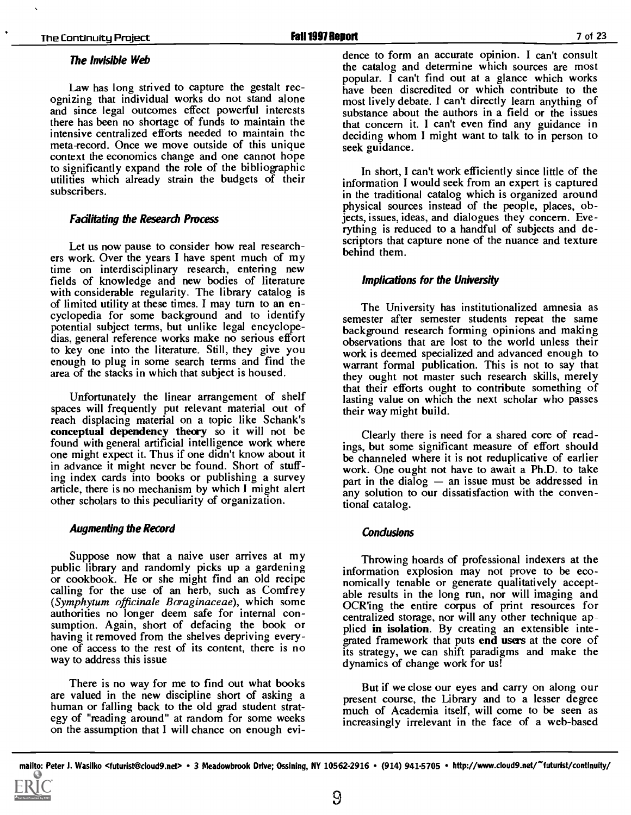#### The Invisible Web

and since legal outcomes effect powerful interests there has been no shortage of funds to maintain the intensive centralized efforts needed to maintain the meta-record. Once we move outside of this unique context the economics change and one cannot hope to significantly expand the role of the bibliographic utilities which already strain the budgets of their subscribers.

#### Fadlitating the Research Process

Let us now pause to consider how real research-<br>ers work. Over the years I have spent much of my time on interdisciplinary research, entering new<br>fields of knowledge and new bodies of literature with considerable regularity. The library catalog is of limited utility at these times. I may turn to an enof limited utility at these times. I may turn to an en-<br>cyclopedia for some background and to identify<br>engines of the same structure repeat, the same potential subject terms, but unlike legal encyclopedias, general reference works make no serious effort dias, general reference works make no serious enormal observations that are lost to the world unless their<br>to key one into the literature. Still, they give you work is deemed specialized and advanced enough to enough to plug in some search terms and find the area of the stacks in which that subject is housed.

Unfortunately the linear arrangement of shelf spaces will frequently put relevant material out of reach displacing material on a topic like Schank's conceptual dependency theory so it will not be found with general artificial intelligence work where one might expect it. Thus if one didn't know about it in advance it might never be found. Short of stuffing index cards into books or publishing a survey article, there is no mechanism by which I might alert other scholars to this peculiarity of organization.

#### Augmenting the Record

Suppose now that a naive user arrives at my public library and randomly picks up a gardening or cookbook. He or she might find an old recipe<br>calling for the use of an herb, such as Comfrey<br>(Symphytum officinale Boraginaceae), which some<br> $OCR$  in the entire corpus of print resources for (Symphytum officinale Boraginaceae), which some  $\overrightarrow{OCR}$  ing the entire corpus of print resources for authorities no longer deem safe for internal con-<br>sumption. Again, short of defacing the book or plied in isolation. By having it removed from the shelves depriving everyone of access to the rest of its content, there is no way to address this issue

There is no way for me to find out what books are valued in the new discipline short of asking a structure of a human or falling back to the old grad student strat-<br>human or falling back to the old grad student strat-<br>much of Academia itself will come to be seen as egy of "reading around" at random for some weeks on the assumption that I will chance on enough evi-

Law has long strived to capture the gestalt rec-<br>
ognizing that individual works do not stand alone<br>
ognizing that individual works do not stand alone<br>
ognizing that individual works do not stand alone<br>
ognizing that indiv dence to form an accurate opinion. I can't consult the catalog and determine which sources are most most lively debate. I can't directly learn anything of substance about the authors in a field or the issues that concern it. I can't even find any guidance in deciding whom I might want to talk to in person to seek guidance.

> In short, I can't work efficiently since little of the information I would seek from an expert is captured in the traditional catalog which is organized around physical sources instead of the people, places, objects, issues, ideas, and dialogues they concern. Everything is reduced to a handful of subjects and descriptors that capture none of the nuance and texture behind them.

#### Implications for the University

semester after semester students repeat the same background research forming opinions and making warrant formal publication. This is not to say that they ought not master such research skills, merely that their efforts ought to contribute something of lasting value on which the next scholar who passes their way might build.

Clearly there is need for a shared core of readings, but some significant measure of effort should be channeled where it is not reduplicative of earlier work. One ought not have to await a Ph.D. to take part in the dialog  $-$  an issue must be addressed in any solution to our dissatisfaction with the conventional catalog.

#### Condusions

Throwing hoards of professional indexers at the information explosion may not prove to be economically tenable or generate qualitatively acceptcentralized storage, nor will any other technique apgrated framework that puts end users at the core of its strategy, we can shift paradigms and make the dynamics of change work for us!

But if we close our eyes and carry on along our present course, the Library and to a lesser degree much of Academia itself, will come to be seen as increasingly irrelevant in the face of a web-based

mailto: Peter J. Wasilko <futurist@cloud9.net> • 3 Meadowbrook Drive; Ossining, NY 10562-2916 • (914) 941-5705 • http://www.cloud9.net/~futurist/continuity/

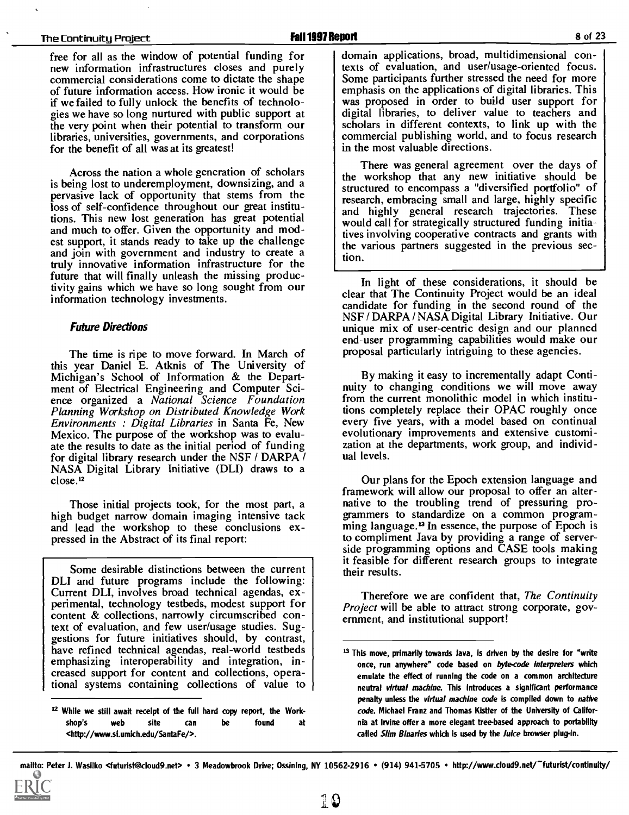#### The Continuity Project **Fall 1997 Report** Fall 1997 Report **Fall 1997 Report** 8 of 23

free for all as the window of potential funding for new information infrastructures closes and purely commercial considerations come to dictate the shape<br>
of future information access. How ironic it would be emphasis on the applications of digital libraries. This of future information access. How ironic it would be if we failed to fully unlock the benefits of technologies we have so long nurtured with public support at the very point when their potential to transform our libraries, universities, governments, and corporations for the benefit of all was at its greatest!

Across the nation a whole generation of scholars is being lost to underemployment, downsizing, and a<br>pervasive lack of opportunity that stems from the<br>lack of opportunity that stems from the<br>lack of opportunity that stems from the<br>lack of research, embracing small and la loss of self-confidence throughout our great institutions. This new lost generation has great potential and much to offer. Given the opportunity and modest support, it stands ready to take up the challenge and join with government and industry to create a truly innovative information infrastructure for the future that will finally unleash the missing productivity gains which we have so long sought from our<br>clear that The Continuity Project would be an ideal information technology investments.

#### Future Directions

The time is ripe to move forward. In March of this year Daniel E. Atknis of The University of Michigan's School of Information & the Department of Electrical Engineering and Computer Science organized a National Science Foundation Planning Workshop on Distributed Knowledge Work Environments : Digital Libraries in Santa Fe, New Mexico. The purpose of the workshop was to evaluate the results to date as the initial period of funding for digital library research under the NSF / DARPA / NASA Digital Library Initiative (DLI) draws to a close.'2

high budget narrow domain imaging intensive tack and lead the workshop to these conclusions expressed in the Abstract of its final report:

Some desirable distinctions between the current DLI and future programs include the following: Current DLI, involves broad technical agendas, experimental, technology testbeds, modest support for content & collections, narrowly circumscribed context of evaluation, and few user/usage studies. Suggestions for future initiatives should, by contrast, have refined technical agendas, real-world testbeds emphasizing interoperability and integration, increased support for content and collections, operational systems containing collections of value to domain applications, broad, multidimensional contexts of evaluation, and user/usage-oriented focus. Some participants further stressed the need for more was proposed in order to build user support for<br>digital libraries, to deliver value to teachers and scholars in different contexts, to link up with the commercial publishing world, and to focus research in the most valuable directions.

There was general agreement over the days of the workshop that any new initiative should be structured to encompass a "diversified portfolio" of and highly general research trajectories. These would call for strategically structured funding initiatives involving cooperative contracts and grants with the various partners suggested in the previous section.

In light of these considerations, it should be candidate for funding in the second round of the NSF / DARPA / NASA Digital Library Initiative. Our unique mix of user-centric design and our planned end-user programming capabilities would make our proposal particularly intriguing to these agencies.

By making it easy to incrementally adapt Continuity to changing conditions we will move away from the current monolithic model in which institutions completely replace their OPAC roughly once every five years, with a model based on continual evolutionary improvements and extensive customization at the departments, work group, and individual levels.

Those initial projects took, for the most part, a statural native to the troubling trend of pressuring pro-Our plans for the Epoch extension language and framework will allow our proposal to offer an alter- native to the troubling trend of pressuring pro- grammers to standardize on a common programming language. $<sup>13</sup>$  In essence, the purpose of Epoch is</sup> to compliment Java by providing a range of serverside programming options and CASE tools making it feasible for different research groups to integrate their results.

> Therefore we are confident that, The Continuity Project will be able to attract strong corporate, government, and institutional support!

<sup>&</sup>lt;sup>12</sup> While we stiil await receipt of the full hard copy report, the Workshop's web site can be found at <http://www.si.umich.edu/SantaFe/>.

 $13$  This move, primarily towards Java, is driven by the desire for "write once, run anywhere" code based on byte-code interpreters which emulate the effect of running the code on a common architecture neutral virtual machine. This introduces a significant performance penalty unless the virtual machine code is compiled down to native code. Michael Franz and Thomas Kistler of the University of California at Irvine offer a more elegant tree-based approach to portability called Slim Binaries which is used by the Juice browser plug-in.

mailto: Peter J. Wasilko <futurist@cloud9.net> • 3 Meadowbrook Drive; Ossining, NY 10562-2916 • (914) 941-5705 • http://www.cloud9.net/~futurist/continuity/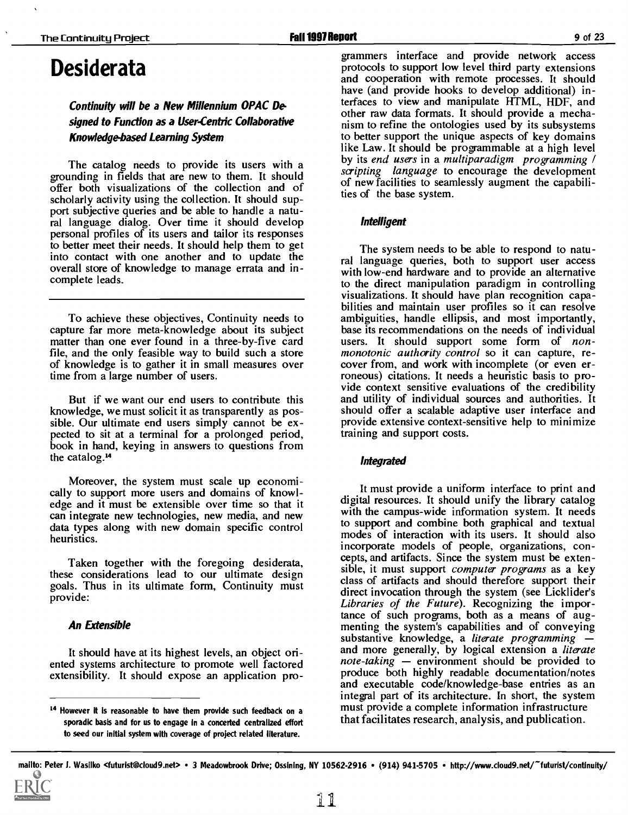### Desiderata

### Continuity will be a New Millennium OPAC Designed to Function as a User-Centric Collaborative Knowledge-based Learning System

The catalog needs to provide its users with a grounding in fields that are new to them. It should offer both visualizations of the collection and of scholarly activity using the collection. It should support subjective queries and be able to handle a natural language dialog. Over time it should develop personal profiles of its users and tailor its responses to better meet their needs. It should help them to get<br>into contact with one another and to update the ral language queries, both to support user access overall store of knowledge to manage errata and incomplete leads.

To achieve these objectives, Continuity needs to capture far more meta-knowledge about its subject matter than one ever found in a three-by-five card file, and the only feasible way to build such a store monotonic authority control so it can capture, re-<br>of knowledge is to gather it in small measures over cover from, and work with incomplete (or even erof knowledge is to gather it in small measures over time from a large number of users.

But if we want our end users to contribute this knowledge, we must solicit it as transparently as possible. Our ultimate end users simply cannot be ex- pected to sit at a terminal for a prolonged period, book in hand, keying in answers to questions from the catalog.<sup>14</sup>

Moreover, the system must scale up economically to support more users and domains of knowledge and it must be extensible over time so that it can integrate new technologies, new media, and new data types along with new domain specific control heuristics.

Taken together with the foregoing desiderata, these considerations lead to our ultimate design goals. Thus in its ultimate form, Continuity must provide:

#### An Extensible

It should have at its highest levels, an object oriented systems architecture to promote well factored extensibility. It should expose an application pro-

grammers interface and provide network access protocols to support low level third party extensions and cooperation with remote processes. It should have (and provide hooks to develop additional) interfaces to view and manipulate HTML, HDF, and other raw data formats. It should provide a mechanism to refine the ontologies used by its subsystems to better support the unique aspects of key domains like Law. It should be programmable at a high level by its end users in a multiparadigm programming / scripting language to encourage the development of new facilities to seamlessly augment the capabilities of the base system.

#### Intelligent

The system needs to be able to respond to natuwith low-end hardware and to provide an alternative to the direct manipulation paradigm in controlling visualizations. It should have plan recognition capa- bilities and maintain user profiles so it can resolve ambiguities, handle ellipsis, and most importantly, base its recommendations on the needs of individual users. It should support some form of nonmonotonic authority control so it can capture, reroneous) citations. It needs a heuristic basis to provide context sensitive evaluations of the credibility and utility of individual sources and authorities. It should offer a scalable adaptive user interface and provide extensive context-sensitive help to minimize training and support costs.

#### Integrated

It must provide a uniform interface to print and digital resources. It should unify the library catalog with the campus-wide information system. It needs to support and combine both graphical and textual modes of interaction with its users. It should also incorporate models of people, organizations, concepts, and artifacts. Since the system must be extensible, it must support *computer programs* as a key class of artifacts and should therefore support their Libraries of the Future). Recognizing the importance of such programs, both as a means of augmenting the system's capabilities and of conveying substantive knowledge, a *literate programming* – and more generally, by logical extension a literate note-taking  $-$  environment should be provided to produce both highly readable documentation/notes and executable code/knowledge-base entries as an integral part of its architecture. In short, the system must provide a complete information infrastructure that facilitates research, analysis, and publication.

<sup>14</sup> However it is reasonable to have them provide such feedback on a sporadic basis and for us to engage In a concerted centralized effort to seed our initial system with coverage of project related literature.

mailto: Peter J. Wasilko <futurist@cloud9.net> • 3 Meadowbrook Drive; Ossining, NY 10562-2916 • (914) 941-5705 • http://www.cloud9.net/~futurist/continuity/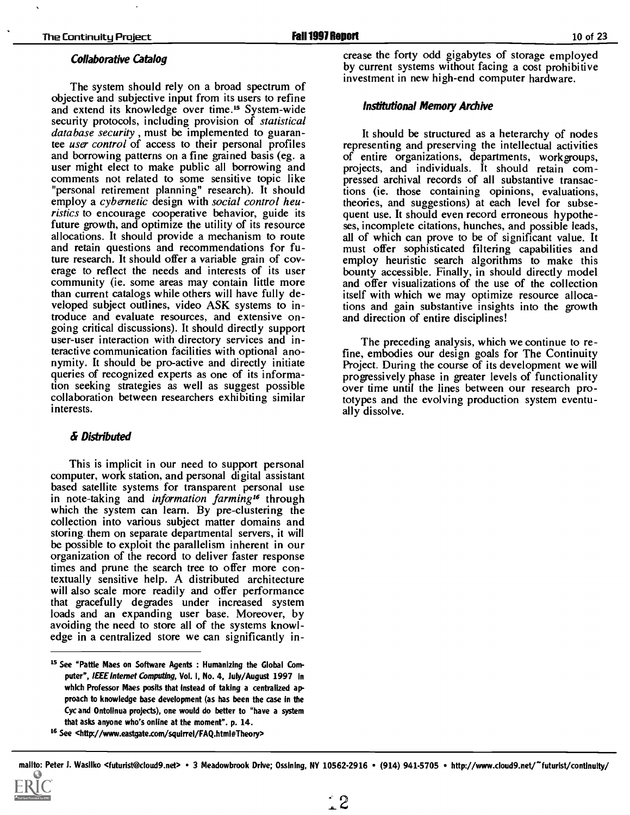#### Collaborative Catalog

The system should rely on a broad spectrum of objective and subjective input from its users to refine and extend its knowledge over time.<sup>15</sup> System-wide security protocols, including provision of *statistical* database security , must be implemented to guarantee *user control* of access to their personal profiles and borrowing patterns on a fine grained basis (eg. a user might elect to make public all borrowing and comments not related to some sensitive topic like "personal retirement planning" research). It should employ a cybernetic design with social control heuristics to encourage cooperative behavior, guide its future growth, and optimize the utility of its resource allocations. It should provide a mechanism to route and retain questions and recommendations for future research. It should offer a variable grain of coverage to reflect the needs and interests of its user community (ie. some areas may contain little more than current catalogs while others will have fully developed subject outlines, video ASK systems to introduce and evaluate resources, and extensive ongoing critical discussions). It should directly support user-user interaction with directory services and interactive communication facilities with optional anonymity. It should be pro-active and directly initiate queries of recognized experts as one of its information seeking strategies as well as suggest possible collaboration between researchers exhibiting similar interests.

#### & Distributed

This is implicit in our need to support personal computer, work station, and personal digital assistant based satellite systems for transparent personal use in note-taking and *information farming*<sup>16</sup> through which the system can learn. By pre-clustering the collection into various subject matter domains and storing them on separate departmental servers, it will be possible to exploit the parallelism inherent in our organization of the record to deliver faster response times and prune the search tree to offer more contextually sensitive help. A distributed architecture will also scale more readily and offer performance that gracefully degrades under increased system loads and an expanding user base. Moreover, by avoiding the need to store all of the systems knowledge in a centralized store we can significantly increase the forty odd gigabytes of storage employed by current systems without facing a cost prohibitive investment in new high-end computer hardware.

#### Institutional Memory Archive

It should be structured as a heterarchy of nodes representing and preserving the intellectual activities of entire organizations, departments, workgroups, projects, and individuals. It should retain compressed archival records of all substantive transactions (ie. those containing opinions, evaluations, theories, and suggestions) at each level for subsequent use. It should even record erroneous hypotheses, incomplete citations, hunches, and possible leads, must offer sophisticated filtering capabilities and employ heuristic search algorithms to make this bounty accessible. Finally, in should directly model and offer visualizations of the use of the collection itself with which we may optimize resource allocations and gain substantive insights into the growth and direction of entire disciplines!

The preceding analysis, which we continue to refine, embodies our design goals for The Continuity Project. During the course of its development we will progressively phase in greater levels of functionality over time until the lines between our research prototypes and the evolving production system eventually dissolve.

Is See "Pattie Maes on Software Agents : Humanizing the Global Computer", IEEE Internet Computing, Vol. I, No. 4, July/August 1997 in which Professor Maes posits that instead of taking a centralized approach to knowledge base development (as has been the case in the Cyc and Ontolinua projects), one would do better to "have a system that asks anyone who's online at the moment". p. 14.

<sup>16</sup> See <http://www.eastgate.com/squirrel/FAQ.html#Theory>

mailto: Peter J. Wasllko <futurist@cloud9.net> · 3 Meadowbrook Drive; Ossining, NY 10562-2916 · (914) 941-5705 · http://www.cloud9.net/"futurist/contlnuity/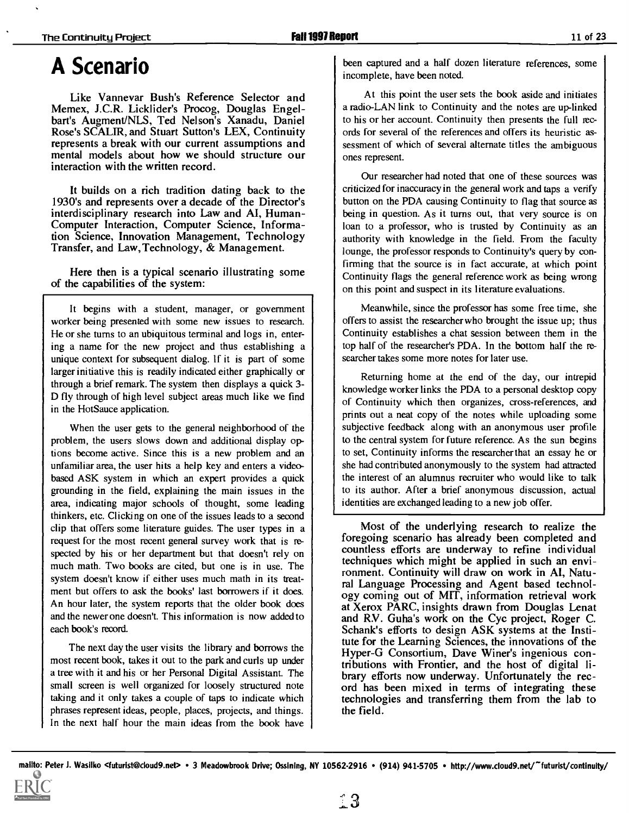### A Scenario

Like Vannevar Bush's Reference Selector and Memex, J.C.R. Licklider's Procog, Douglas Engelbart's Augment/NLS, Ted Nelson's Xanadu, Daniel Rose's SCALIR, and Stuart Sutton's LEX, Continuity represents a break with our current assumptions and mental models about how we should structure our interaction with the written record.

It builds on a rich tradition dating back to the 1930's and represents over a decade of the Director's interdisciplinary research into Law and AI, Human-Computer Interaction, Computer Science, Information Science, Innovation Management, Technology Transfer, and Law, Technology, & Management.

Here then is a typical scenario illustrating some of the capabilities of the system:

It begins with a student, manager, or government worker being presented with some new issues to research. He or she turns to an ubiquitous terminal and logs in, entering a name for the new project and thus establishing a unique context for subsequent dialog. If it is part of some larger initiative this is readily indicated either graphically or through a brief remark. The system then displays a quick 3- D fly through of high level subject areas much like we find in the HotSauce application.

When the user gets to the general neighborhood of the problem, the users slows down and additional display options become active. Since this is a new problem and an unfamiliar area, the user hits a help key and enters a videobased ASK system in which an expert provides a quick grounding in the field, explaining the main issues in the area, indicating major schools of thought, some leading thinkers, etc. Clicking on one of the issues leads to a second clip that offers some literature guides. The user types in a request for the most recent general survey work that is respected by his or her department but that doesn't rely on much math. Two books are cited, but one is in use. The system doesn't know if either uses much math in its treatment but offers to ask the books' last borrowers if it does. An hour later, the system reports that the older book does and the newer one doesn't. This information is now added to each book's record.

The next day the user visits the library and borrows the most recent book, takes it out to the park and curls up under a tree with it and his or her Personal Digital Assistant. The small screen is well organized for loosely structured note | cord has been mixed in terms of integrating these taking and it only takes a couple of taps to indicate which phrases represent ideas, people, places, projects, and things. In the next half hour the main ideas from the book have

been captured and a half dozen literature references, some incomplete, have been noted.

At this point the user sets the book aside and initiates a radio-LAN link to Continuity and the notes are up-linked to his or her account. Continuity then presents the full records for several of the references and offers its heuristic assessment of which of several alternate titles the ambiguous ones represent.

Our researcher had noted that one of these sources was criticized for inaccuracy in the general work and taps a verify button on the PDA causing Continuity to flag that source as being in question. As it turns out, that very source is on loan to a professor, who is trusted by Continuity as an authority with knowledge in the field. From the faculty lounge, the professor responds to Continuity's query by confirming that the source is in fact accurate, at which point Continuity flags the general reference work as being wrong on this point and suspect in its literature evaluations.

Meanwhile, since the professor has some free time, she offers to assist the researcher who brought the issue up; thus Continuity establishes a chat session between them in the top half of the researcher's PDA. In the bottom half the researcher takes some more notes for later use.

Returning home at the end of the day, our intrepid knowledge worker links the PDA to a personal desktop copy of Continuity which then organizes, cross-references, and prints out a neat copy of the notes while uploading some subjective feedback along with an anonymous user profile to the central system for future reference. As the sun begins to set, Continuity informs the researcher that an essay he or she had contributed anonymously to the system had attracted the interest of an alumnus recruiter who would like to talk to its author. After a brief anonymous discussion, actual identities are exchanged leading to a new job offer.

Most of the underlying research to realize the foregoing scenario has already been completed and countless efforts are underway to refine individual techniques which might be applied in such an environment. Continuity will draw on work in AI, Natural Language Processing and Agent based technology coming out of MIT, information retrieval work at Xerox PARC, insights drawn from Douglas Lenat and RV. Guha's work on the Cyc project, Roger C. Schank's efforts to design ASK systems at the Institute for the Learning Sciences, the innovations of the Hyper-G Consortium, Dave Winer's ingenious contributions with Frontier, and the host of digital library efforts now underway. Unfortunately the rectechnologies and transferring them from the lab to the field.

mailto: Peter J. Wasilko <futurist@cloud9.net> · 3 Meadowbrook Drive; Ossining, NY 10562-2916 · (914) 941-5705 · http://www.cloud9.net/~futurist/continuity/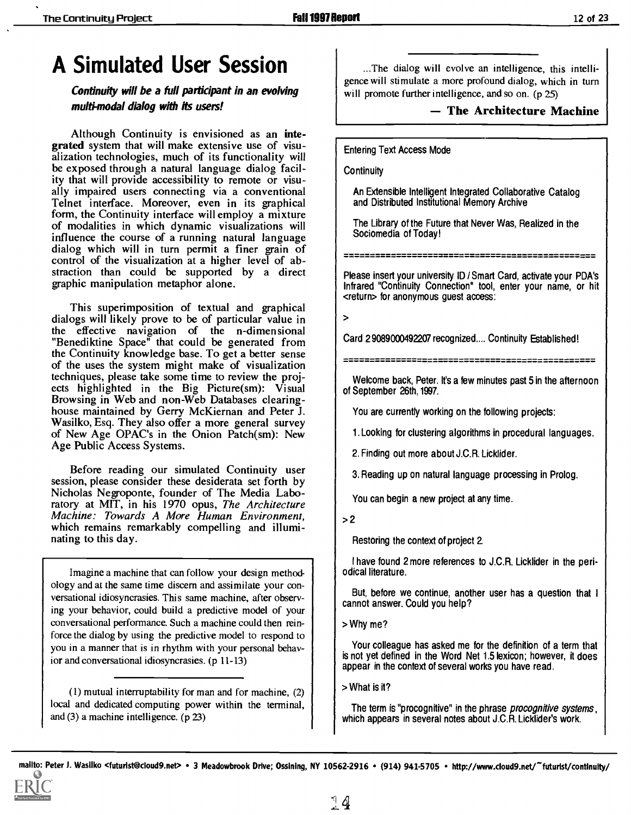## A Simulated User Session

Continuity will be a full participant in an evolving multi-modal dialog with its users!

Although Continuity is envisioned as an integrated system that will make extensive use of visualization technologies, much of its functionality will be exposed through a natural language dialog facility that will provide accessibility to remote or visually impaired users connecting via a conventional Telnet interface. Moreover, even in its graphical form, the Continuity interface will employ a mixture of modalities in which dynamic visualizations will<br>influence the course of a running natural language<br>dialog which will in turn permit a finer grain of<br>control of the visualization at a higher level of ab-<br>straction than c graphic manipulation metaphor alone.

This superimposition of textual and graphical dialogs will likely prove to be of particular value in  $\vert$  > the effective navigation of the n-dimensional "Benediktine Space" that could be generated from the Continuity knowledge base. To get a better sense of the uses the system might make of visualization techniques, please take some time to review the projects highlighted in the Big Picture(sm): Visual Browsing in Web and non-Web Databases clearinghouse maintained by Gerry McKiernan and Peter J. Wasilko, Esq. They also offer a more general survey of New Age OPAC's in the Onion Patch(sm): New Age Public Access Systems.

Before reading our simulated Continuity user session, please consider these desiderata set forth by Nicholas Negroponte, founder of The Media Laboratory at MIT, in his 1970 opus, The Architecture Machine: Towards A More Human Environment, which remains remarkably compelling and illuminating to this day.

Imagine a machine that can follow your design methodology and at the same time discern and assimilate your conversational idiosyncrasies. This same machine, after observing your behavior, could build a predictive model of your conversational performance. Such a machine could then reinforce the dialog by using the predictive model to respond to you in a manner that is in rhythm with your personal behavior and conversational idiosyncrasies. (p 11-13)

(1) mutual interruptability for man and for machine, (2) local and dedicated computing power within the terminal, and (3) a machine intelligence. (p 23)

...The dialog will evolve an intelligence, this intelligence will stimulate a more profound dialog, which in turn will promote further intelligence, and so on. (p 25)

- The Architecture Machine

Entering Text Access Mode

**Continuity** 

An Extensible Intelligent Integrated Collaborative Catalog and Distributed Institutional Memory Archive

The Library of the Future that Never Was, Realized in the Sociomedia of Today!

Please insert your university ID /Smart Card, activate your PDA's Infrared "Continuity Connection" tool, enter your name, or hit <return> for anonymous guest access:

Card 29089000492207 recognized.... Continuity Established!

Welcome back, Peter. It's a few minutes past 5 in the afternoon of September 26th, 1997.

You are currently working on the following projects:

1. Looking for clustering algorithms in procedural languages.

2. Finding out more about J.C.R. Licklider.

3. Reading up on natural language processing in Prolog.

You can begin a new project at any time.

 $>2$ 

Restoring the context of project 2.

I have found 2 more references to J.C.R. Licklider in the periodical literature.

But, before we continue, another user has a question that <sup>I</sup> cannot answer. Could you help?

> Why me?

Your colleague has asked me for the definition of a term that is not yet defined in the Word Net 1.5 lexicon; however, ft does appear in the context of several works you have read.

> What is it?

The term is "procognitive" in the phrase *procognitive systems*, which appears in several notes about J.C.R. Licklider's work.

mailto: Peter J. Wasilko <futurist@cloud9.net> • 3 Meadowbrook Drive; Ossining, NY 10562-2916 • (914) 941-5705 • http://www.cloud9.net/~futurist/continuity/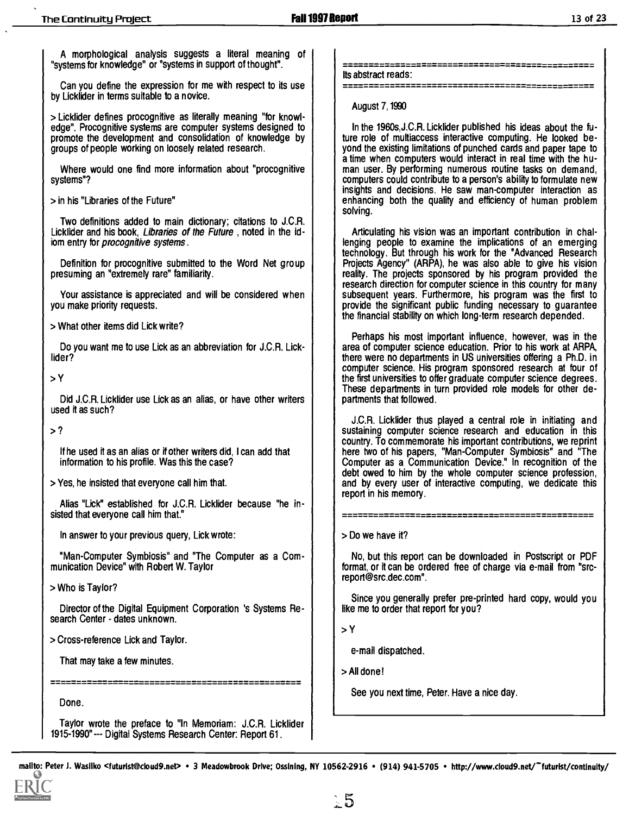A morphological analysis suggests a literal meaning of "systems for knowledge" or "systems in support of thought".

Can you define the expression for me with respect to its use by Licklider in terms suitable to a novice.

> Licklider defines procognitive as literally meaning "for knowledge". Procognitive systems are computer systems designed to promote the development and consolidation of knowledge by groups of people working on loosely related research.

Where would one find more information about "procognitive systems"?

> in his "Libraries of the Future"

Two definitions added to main dictionary; citations to J.C.R. Licklider and his book, Libraries of the Future , noted in the idiom entry for *procognitive* systems.

Definition for procognitive submitted to the Word Net group presuming an "extremely rare" familiarity.

Your assistance is appreciated and will be considered when you make priority requests.

> What other items did Lick write?

Do you want me to use Lick as an abbreviation for J.C.R. Licklider?

>Y

Did J.C.R. Licklider use Lick as an alias, or have other writers used it as such?

>?

If he used it as an alias or if other writers did, I can add that information to his profile. Was this the case?

> Yes, he insisted that everyone call him that.

Alias "Lick" established for J.C.R. Licklider because "he insisted that everyone call him that."

In answer to your previous query, Lick wrote:

"Man-Computer Symbiosis" and "The Computer as a Communication Device" with Robert W. Taylor

> Who is Taylor?

**2711311311012211** 

Director of the Digital Equipment Corporation 's Systems Research Center - dates unknown.

> Cross-reference Lick and Taylor.

That may take a few minutes.

Done.

Taylor wrote the preface to "In Memoriam: J.C.R. Licklider 1915 - 1990 " - -- Digital Systems Research Center: Report 61.

-----------------------------Its abstract reads:

August 7,1990

In the 1960s,J.C.R. Licklider published his ideas about the future role of multiaccess interactive computing. He looked beyond the existing limitations of punched cards and paper tape to a time when computers would interact in real time with the human user. By performing numerous routine tasks on demand, computers could contribute to a person's ability to formulate new insights and decisions. He saw man-computer interaction as enhancing both the quality and efficiency of human problem solving.

Articulating his vision was an important contribution in challenging people to examine the implications of an emerging technology. But through his work for the "Advanced Research Projects Agency" (ARPA), he was also able to give his vision reality. The projects sponsored by his program provided the research direction for computer science in this country for many subsequent years. Furthermore, his program was the first to provide the significant public funding necessary to guarantee the financial stability on which long-term research depended.

Perhaps his most important influence, however, was in the area of computer science education. Prior to his work at ARPA, there were no departments in US universities offering a Ph.D. in computer science. His program sponsored research at four of the first universities to offer graduate computer science degrees. These departments in turn provided role models for other departments that followed.

J.C.R. Licklider thus played a central role in initiating and sustaining computer science research and education in this country. To commemorate his important contributions, we reprint here two of his papers, "Man-Computer Symbiosis" and "The Computer as a Communication Device." In recognition of the debt owed to him by the whole computer science profession, and by every user of interactive computing, we dedicate this report in his memory.

> Do we have it?

No, but this report can be downloaded in Postscript or PDF format, or it can be ordered free of charge via e-mail from "srcreport@src.dec.com".

Since you generally prefer pre-printed hard copy, would you like me to order that report for you?

>Y

e-mail dispatched.

> All done!

See you next time, Peter. Have a nice day.

mallto: Peter J. Wasilko <futurist@cloud9.net> • 3 Meadowbrook Drive; Ossining, NY 10562-2916 • (914) 941-5705 • http://www.cloud9.net/~futurist/continuity/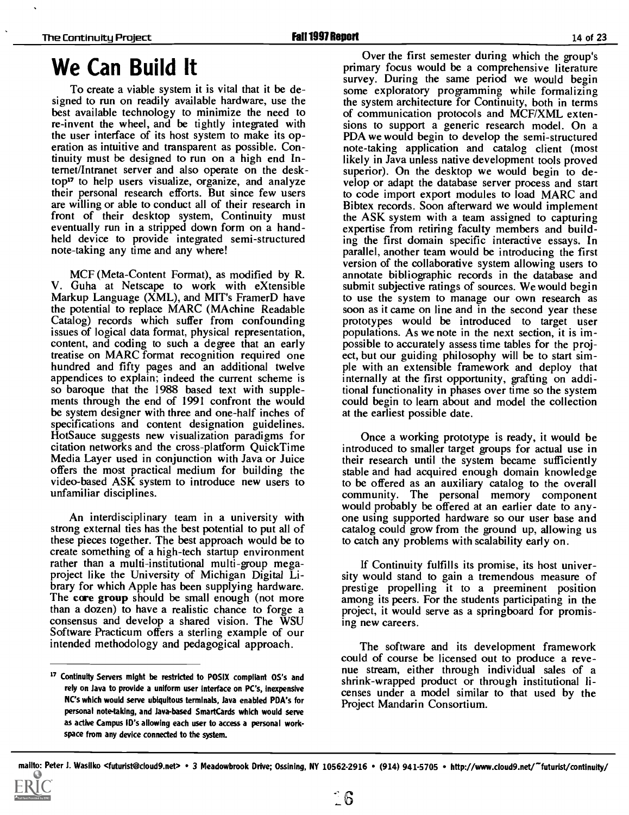### We Can Build It

To create a viable system it is vital that it be designed to run on readily available hardware, use the the system architecture for Continuity, both in terms best available technology to minimize the need to of communication protocols and MCF/XML extenbest available technology to minimize the need to re-invent the wheel, and be tightly integrated with the user interface of its host system to make its operation as intuitive and transparent as possible. Continuity must be designed to run on a high end Intemet/Intranet server and also operate on the desktop" to help users visualize, organize, and analyze their personal research efforts. But since few users are willing or able to conduct all of their research in front of their desktop system, Continuity must eventually run in a stripped down form on a handheld device to provide integrated semi-structured note-taking any time and any where!

MCF (Meta-Content Format), as modified by R. V. Guha at Netscape to work with eXtensible Markup Language (XML), and MIT's FramerD have the potential to replace MARC (MAchine Readable Catalog) records which suffer from confounding issues of logical data format, physical representation, content, and coding to such a degree that an early treatise on MARC format recognition required one hundred and fifty pages and an additional twelve appendices to explain; indeed the current scheme is so baroque that the 1988 based text with supplements through the end of 1991 confront the would be system designer with three and one-half inches of specifications and content designation guidelines. HotSauce suggests new visualization paradigms for citation networks and the cross-platform QuickTime Media Layer used in conjunction with Java or Juice offers the most practical medium for building the video-based ASK system to introduce new users to unfamiliar disciplines.

An interdisciplinary team in a university with strong external ties has the best potential to put all of these pieces together. The best approach would be to create something of a high-tech startup environment rather than a multi-institutional multi-group megaproject like the University of Michigan Digital Library for which Apple has been supplying hardware. The core group should be small enough (not more than a dozen) to have a realistic chance to forge a consensus and develop a shared vision. The WSU Software Practicum offers a sterling example of our intended methodology and pedagogical approach.

Over the first semester during which the group's primary focus would be a comprehensive literature survey. During the same period we would begin some exploratory programming while formalizing the system architecture for Continuity, both in terms sions to support a generic research model. On a PDA we would begin to develop the semi-structured note-taking application and catalog client (most likely in Java unless native development tools proved superior). On the desktop we would begin to develop or adapt the database server process and start to code import export modules to load MARC and Bibtex records. Soon afterward we would implement the ASK system with a team assigned to capturing expertise from retiring faculty members and building the first domain specific interactive essays. In parallel, another team would be introducing the first version of the collaborative system allowing users to annotate bibliographic records in the database and submit subjective ratings of sources. We would begin to use the system to manage our own research as prototypes would be introduced to target user populations. As we note in the next section, it is impossible to accurately assess time tables for the project, but our guiding philosophy will be to start simple with an extensible framework and deploy that internally at the first opportunity, grafting on additional functionality in phases over time so the system could begin to learn about and model the collection at the earliest possible date.

Once a working prototype is ready, it would be introduced to smaller target groups for actual use in their research until the system became sufficiently stable and had acquired enough domain knowledge to be offered as an auxiliary catalog to the overall community. The personal memory component would probably be offered at an earlier date to anyone using supported hardware so our user base and catalog could grow from the ground up, allowing us to catch any problems with scalability early on.

If Continuity fulfills its promise, its host univer- sity would stand to gain a tremendous measure of prestige propelling it to a preeminent position among its peers. For the students participating in the project, it would serve as a springboard for promising new careers.

<sup>17</sup> Continuity Servers might be restricted to POSIX compliant OS's and here restricted to POSIX compliant OS's and shrink-wrapped product or through institutional li-The software and its development framework could of course be licensed out to produce a revecenses under a model similar to that used by the Project Mandarin Consortium.

rely on Java to provide a uniform user Interface on PC's, inexpensive NC's which would serve ubiquitous terminals, Java enabled PDA's for personal note-taking, and Java-based SmartCards which would serve as active Campus ID's allowing each user to access a personal workspace from any device connected to the system.

mailto: Peter J. Wasilko <futurist@cloud9.net> • 3 Meadowbrook Drive; Ossining, NY 10562-2916 • (914) 941-5705 • http://www.cloud9.net/~futurist/continuity/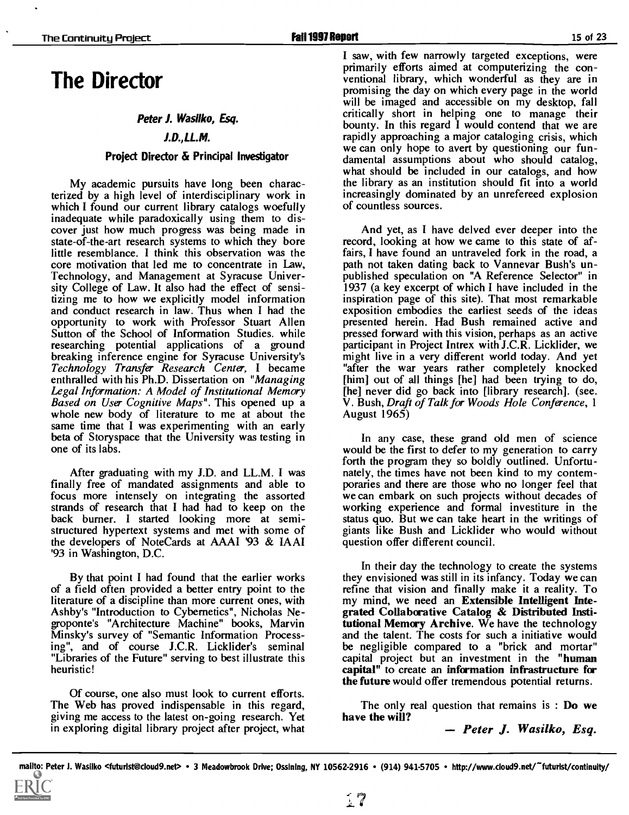### The Director

#### Peter J. Wasilko, Esq.

#### J.D..LL.M.

#### Project Director & Principal Investigator

My academic pursuits have long been characterized by a high level of interdisciplinary work in which I found our current library catalogs woefully inadequate while paradoxically using them to dis- cover just how much progress was being made in state-of-the-art research systems to which they bore little resemblance. I think this observation was the core motivation that led me to concentrate in Law, Technology, and Management at Syracuse University College of Law. It also had the effect of sensitizing me to how we explicitly model information and conduct research in law. Thus when I had the exposition embodies the earliest seeds of the ideas opportunity to work with Professor Stuart Allen presented herein. Had Bush remained active and opportunity to work with Professor Stuart Allen Sutton of the School of Information Studies. while researching potential applications of a ground participant in Project Intrex with J.C.R. Licklider, we<br>breaking inference engine for Syracuse University's might live in a very different world today. And yet breaking inference engine for Syracuse University's Technology Transfer Research Center, I became enthralled with his Ph.D. Dissertation on "Managing Legal Information: A Model of Institutional Memory Based on User Cognitive Maps". This opened up a whole new body of literature to me at about the same time that I was experimenting with an early beta of Storyspace that the University was testing in one of its labs.

After graduating with my J.D. and LL.M. I was finally free of mandated assignments and able to focus more intensely on integrating the assorted we can embark on such projects without decades of strands of research that I had had to keep on the working experience and formal investiture in the strands of research that I had had to keep on the back burner. <sup>I</sup> started looking more atsemistructured hypertext systems and met with some of the developers of NoteCards at AAAI '93 & IAAI '93 in Washington, D.C.

By that point I had found that the earlier works of a field often provided a better entry point to the literature of a discipline than more current ones, with my mind, we need an **Extensible Intelligent Inte-**Ashby's "Introduction to Cybernetics", Nicholas Negroponte's "Architecture Machine" books, Marvin Minsky's survey of "Semantic Information Processing", and of course J.C.R. Licklider's seminal "Libraries of the Future" serving to best illustrate this heuristic!

Of course, one also must look to current efforts. The Web has proved indispensable in this regard, giving me access to the latest on-going research. Yet in exploring digital library project after project, what I saw, with few narrowly targeted exceptions, were primarily efforts aimed at computerizing the con- ventional library, which wonderful as they are in promising the day on which every page in the world will be imaged and accessible on my desktop, fall critically short in helping one to manage their bounty. In this regard I would contend that we are rapidly approaching a major cataloging crisis, which we can only hope to avert by questioning our fun- damental assumptions about who should catalog, what should be included in our catalogs, and how the library as an institution should fit into a world increasingly dominated by an unrefereed explosion of countless sources.

And yet, as I have delved ever deeper into the record, looking at how we came to this state of affairs, I have found an untraveled fork in the road, a path not taken dating back to Vannevar Bush's unpublished speculation on "A Reference Selector" in 1937 (a key excerpt of which I have included in the inspiration page of this site). That most remarkable exposition embodies the earliest seeds of the ideas pressed forward with this vision, perhaps as an active participant in Project Intrex with J.C.R. Licklider, we "after the war years rather completely knocked [him] out of all things [he] had been trying to do, [he] never did go back into [library research]. (see. V. Bush, Draft of Talk for Woods Hole Conference, 1 August 1965)

In any case, these grand old men of science would be the first to defer to my generation to carry forth the program they so boldly outlined. Unfortunately, the times have not been kind to my contemporaries and there are those who no longer feel that we can embark on such projects without decades of status quo. But we can take heart in the writings of giants like Bush and Licklider who would without question offer different council.

In their day the technology to create the systems they envisioned was still in its infancy. Today we can grated Collaborative Catalog & Distributed Institutional Memory Archive. We have the technology and the talent. The costs for such a initiative would<br>be negligible compared to a "brick and mortar" capital project but an investment in the "human capital" to create an information infrastructure for the future would offer tremendous potential returns.

The only real question that remains is : Do we have the will?

Peter J. Wasilko, Esq.

mailto: Peter J. Wasilko <futurist@cloud9.net> • 3 Meadowbrook Drive; Ossining, NY 10562-2916 • (914) 941-5705 • http://www.cloud9.net/~futurist/continuity/

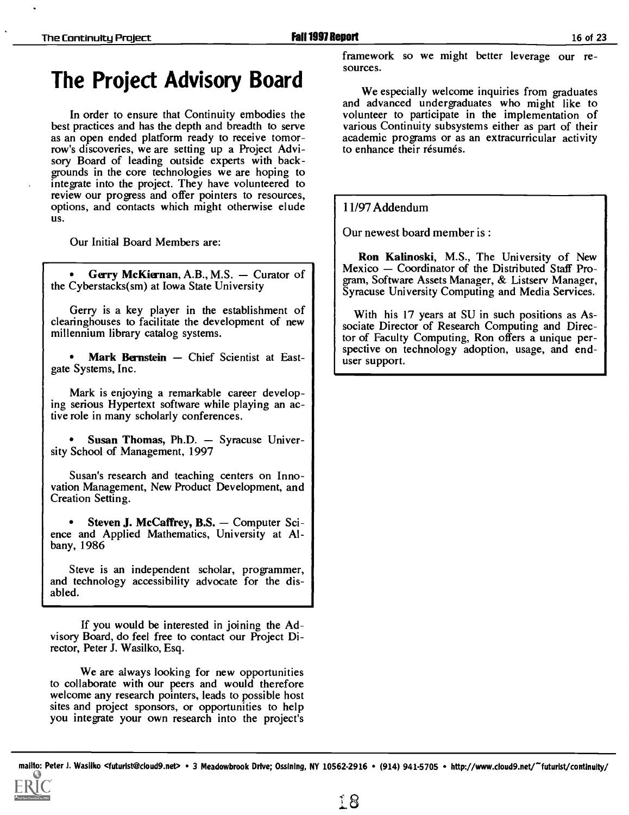# The Project Advisory Board<br>We especially welcome inquiries from graduates

In order to ensure that Continuity embodies the best practices and has the depth and breadth to serve as an open ended platform ready to receive tomorrow's discoveries, we are setting up a Project Advisory Board of leading outside experts with back- grounds in the core technologies we are hoping to integrate into the project. They have volunteered to review our progress and offer pointers to resources, options, and contacts which might otherwise elude US.

Our Initial Board Members are:

Gerry McKiernan, A.B., M.S.  $-$  Curator of the Cyberstacks(sm) at Iowa State University

Gerry is a key player in the establishment of clearinghouses to facilitate the development of new millennium library catalog systems.

Mark Bernstein - Chief Scientist at Eastgate Systems, Inc.

Mark is enjoying a remarkable career developing serious Hypertext software while playing an active role in many scholarly conferences.

Susan Thomas, Ph.D. - Syracuse University School of Management, 1997

Susan's research and teaching centers on Innovation Management, New Product Development, and Creation Setting.

Steven J. McCaffrey, B.S. Computer Sci- ence and Applied Mathematics, University at Albany, 1986

Steve is an independent scholar, programmer, and technology accessibility advocate for the disabled.

If you would be interested in joining the Advisory Board, do feel free to contact our Project Director, Peter J. Wasilko, Esq.

We are always looking for new opportunities to collaborate with our peers and would therefore welcome any research pointers, leads to possible host sites and project sponsors, or opportunities to help you integrate your own research into the project's

framework so we might better leverage our resources.

and advanced undergraduates who might like to volunteer to participate in the implementation of various Continuity subsystems either as part of their academic programs or as an extracurricular activity to enhance their résumés.

#### 11/97 Addendum

Our newest board member is :

Ron Kalinoski, M.S., The University of New Mexico – Coordinator of the Distributed Staff Program, Software Assets Manager, & Listsery Manager, Syracuse University Computing and Media Services.

With his 17 years at SU in such positions as Associate Director of Research Computing and Director of Faculty Computing, Ron offers a unique perspective on technology adoption, usage, and enduser support.

malito: Peter J. Wasilko <futurist@cloud9.net> • 3 Meadowbrook Drive; Ossining, NY 10562-2916 • (914) 941-5705 • http://www.cloud9.net/~futurist/continuity/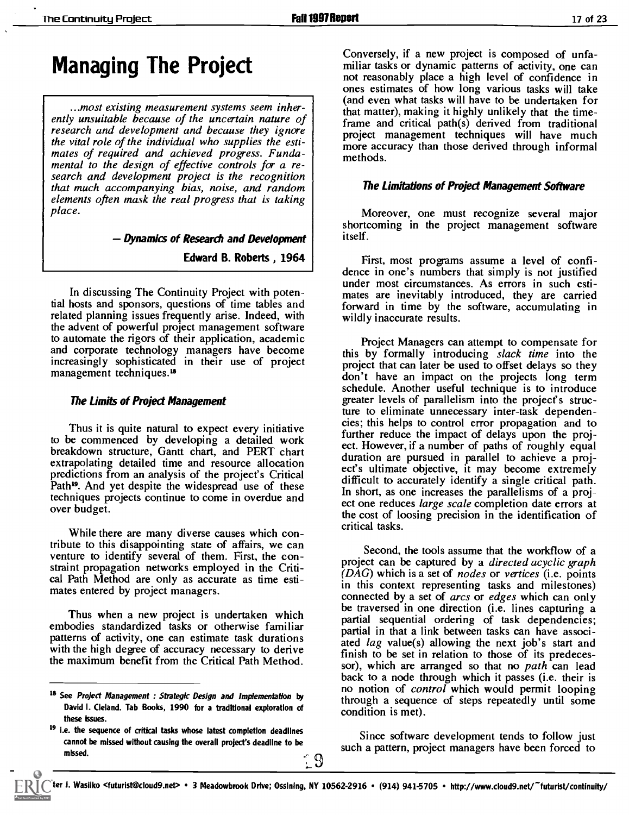### Managing The Project

...most existing measurement systems seem inherently unsuitable because of the uncertain nature of research and development and because they ignore<br>the vital role of the individual who supplies the esti-<br>more accuracy than these derived through infantal mates of required and achieved progress. Funda-<br>mental to the design of effective controls for a research and development project is the recognition that much accompanying bias, noise, and random elements often mask the real progress that is taking place.

Dynamics of Research and Development

Edward B. Roberts , 1964

In discussing The Continuity Project with potential hosts and sponsors, questions of time tables and related planning issues frequently arise. Indeed, with the advent of powerful project management software to automate the rigors of their application, academic and corporate technology managers have become increasingly sophisticated in their use of project management techniques.<sup>18</sup>

#### The Limits of Project Management

Thus it is quite natural to expect every initiative to be commenced by developing a detailed work breakdown structure, Gantt chart, and PERT chart extrapolating detailed time and resource allocation<br>ect's ultimate objective, it may become extremely predictions from an analysis of the project's Critical Path<sup>19</sup>. And yet despite the widespread use of these techniques projects continue to come in overdue and over budget.

While there are many diverse causes which contribute to this disappointing state of affairs, we can venture to identify several of them. First, the constraint propagation networks employed in the Critical Path Method are only as accurate as time estimates entered by project managers.

Thus when a new project is undertaken which embodies standardized tasks or otherwise familiar patterns of activity, one can estimate task durations with the high degree of accuracy necessary to derive finish to be set in relation to those of its predecesthe maximum benefit from the Critical Path Method.

Conversely, if a new project is composed of unfamiliar tasks or dynamic patterns of activity, one can not reasonably place a high level of confidence in ones estimates of how long various tasks will take (and even what tasks will have to be undertaken for that matter), making it highly unlikely that the timeframe and critical path $(s)$  derived from traditional more accuracy than those derived through informal methods.

#### The Limitations of Project Management Software

Moreover, one must recognize several major shortcoming in the project management software itself.

First, most programs assume a level of confi-<br>dence in one's numbers that simply is not justified under most circumstances. As errors in such estimates are inevitably introduced, they are carried forward in time by the software, accumulating in wildly inaccurate results.

Project Managers can attempt to compensate for this by formally introducing *slack time* into the project that can later be used to offset delays so they don't have an impact on the projects long term schedule. Another useful technique is to introduce greater levels of parallelism into the project's structure to eliminate unnecessary inter-task dependencies; this helps to control error propagation and to further reduce the impact of delays upon the project. However, if a number of paths of roughly equal duration are pursued in parallel to achieve a projdifficult to accurately identify a single critical path. In short, as one increases the parallelisms of a project one reduces large scale completion date errors at the cost of loosing precision in the identification of critical tasks.

Second, the tools assume that the workflow of a project can be captured by a directed acyclic graph  $(DAG)$  which is a set of *nodes* or *vertices* (i.e. points in this context representing tasks and milestones) connected by a set of arcs or edges which can only be traversed in one direction (i.e. lines capturing a partial sequential ordering of task dependencies; partial in that a link between tasks can have associated lag value(s) allowing the next job's start and sor), which are arranged so that no path can lead back to a node through which it passes (i.e. their is no notion of *control* which would permit looping through a sequence of steps repeatedly until some condition is met).

Since software development tends to follow just such a pattern, project managers have been forced to

9

<sup>&</sup>lt;sup>18</sup> See *Project Management : Strategic Design and Implementation by* David I. Cleland. Tab Books, 1990 for a traditional exploration of these **ksues**.

<sup>19</sup> i.e. the sequence of critical tasks whose latest completion deadlines cannot be missed without causing the overall project's deadline to be missed.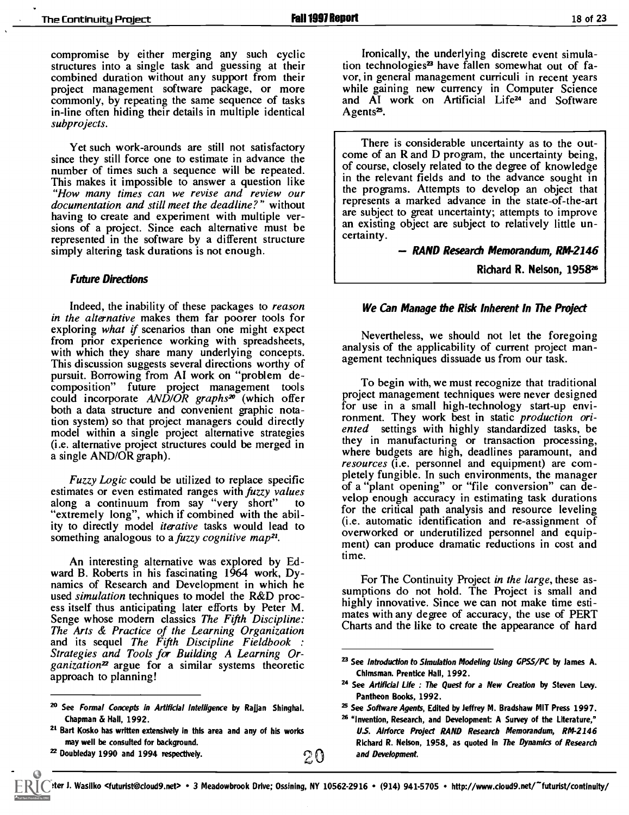compromise by either merging any such cyclic<br>structures into a single task and guessing at their combined duration without any support from their vor, in general management curriculi in recent years<br>project management software package, or more while gaining new currency in Computer Science<br>commonly, by repeating the s commonly, by repeating the same sequence of tasks in-line often hiding their details in multiple identical subprojects.

Yet such work-arounds are still not satisfactory since they still force one to estimate in advance the number of times such a sequence will be repeated. This makes it impossible to answer a question like "How many times can we revise and review our documentation and still meet the deadline?" without having to create and experiment with multiple versions of a project. Since each alternative must be represented in the software by a different structure simply altering task durations is not enough.

#### Future Directions

Indeed, the inability of these packages to reason in the alternative makes them far poorer tools for exploring what if scenarios than one might expect from prior experience working with spreadsheets, with which they share many underlying concepts. This discussion suggests several directions worthy of pursuit. Borrowing from AI work on "problem decomposition" future project management tools could incorporate  $AND/OR$  graphs<sup>20</sup> (which offer both a data structure and convenient graphic notation system) so that project managers could directly model within a single project alternative strategies (i.e. alternative project structures could be merged in a single AND/OR graph).

estimates or even estimated ranges with *fuzzy values* along a continuum from say "very short" to "extremely long", which if combined with the ability to directly model *iterative* tasks would lead to something analogous to a fuzzy cognitive map<sup>21</sup>.

An interesting alternative was explored by Ed- ward B. Roberts in his fascinating 1964 work, Dynamics of Research and Development in which he used *simulation* techniques to model the R&D process itself thus anticipating later efforts by Peter M. Senge whose modern classics The Fifth Discipline: The Arts & Practice of the Learning Organization<br>and its sequel The Fifth Discipline Fieldbook: Strategies and Tools for Building A Learning Or $ganization<sup>2</sup>$  argue for a similar systems theoretic approach to planning!

<sup>22</sup> Doubleday 1990 and 1994 respectively.  $20$ 

Ironically, the underlying discrete event simulation technologies<sup>23</sup> have fallen somewhat out of favor, in general management curriculi in recent years while gaining new currency in Computer Science Agents<sup>25</sup>.

There is considerable uncertainty as to the outcome of an R and D program, the uncertainty being, of course, closely related to the degree of knowledge in the relevant fields and to the advance sought in the programs. Attempts to develop an object that represents a marked advance in the state-of-the-art are subject to great uncertainty; attempts to improve an existing object are subject to relatively little uncertainty.

RAND Research Memorandum, RM-2146

Richard R. Nelson, 1958<sup>26</sup>

#### We Can Manage the Risk Inherent In The Project

Nevertheless, we should not let the foregoing analysis of the applicability of current project management techniques dissuade us from our task.

Fuzzy Logic could be utilized to replace specific  $\frac{p(x,y)}{p(x,y)}$  of a "plant opening" or "file conversion" can de-To begin with, we must recognize that traditional project management techniques were never designed for use in a small high-technology start-up environment. They work best in static production oriented settings with highly standardized tasks, be they in manufacturing or transaction processing, where budgets are high, deadlines paramount, and resources (i.e. personnel and equipment) are completely fungible. In such environments, the manager velop enough accuracy in estimating task durations for the critical path analysis and resource leveling (i.e. automatic identification and re-assignment of overworked or underutilized personnel and equipment) can produce dramatic reductions in cost and time.

> For The Continuity Project in the large, these as-<br>sumptions do not hold. The Project is small and highly innovative. Since we can not make time estimates with any degree of accuracy, the use of PERT Charts and the like to create the appearance of hard

<sup>&</sup>lt;sup>20</sup> See Formal Concepts in Artificial Intelligence by Rajjan Shinghal. Chapman & Hall, 1992.

<sup>&</sup>lt;sup>21</sup> Bart Kosko has written extensively in this area and any of his works may well be consulted for background.

<sup>&</sup>lt;sup>23</sup> See Introduction to Simulation Modeling Using GPSS/PC by James A. Chlmsman. Prentice Hall, 1992.

<sup>&</sup>lt;sup>24</sup> See Artificial Life : The Quest for a New Creation by Steven Levy. Pantheon Books, 1992.

<sup>&</sup>lt;sup>25</sup> See Software Agents, Edited by Jeffrey M. Bradshaw MIT Press 1997.

<sup>&</sup>lt;sup>26</sup> "Invention, Research, and Development: A Survey of the Literature," US. Airforce Project RAND Research Memorandum, RM-2146 Richard R. Nelson, 1958, as quoted in The Dynamics of Research and Development.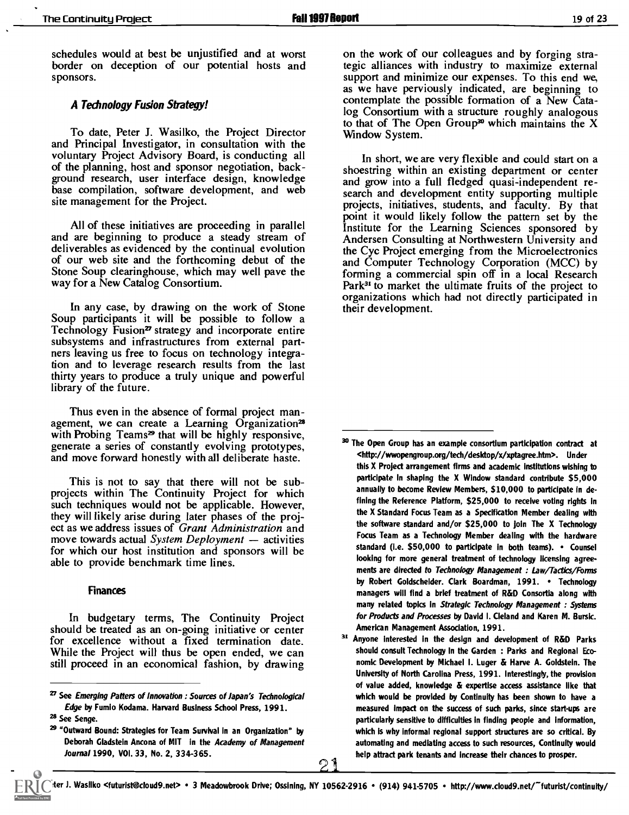schedules would at best be unjustified and at worst border on deception of our potential hosts and sponsors.

#### A Tedinology Fusion Sfrategy!

To date, Peter J. Wasilko, the Project Director and Principal Investigator, in consultation with the voluntary Project Advisory Board, is conducting all of the planning, host and sponsor negotiation, background research, user interface design, knowledge base compilation, software development, and web site management for the Project.

deliverables as evidenced by the continual evolution of our web site and the forthcoming debut of the Stone Soup clearinghouse, which may well pave the way for a New Catalog Consortium.

In any case, by drawing on the work of Stone Soup participants it will be possible to follow a Technology Fusion<sup> $2$ </sup> strategy and incorporate entire subsystems and infrastructures from external partners leaving us free to focus on technology integration and to leverage research results from the last thirty years to produce a truly unique and powerful library of the future.

Thus even in the absence of formal project management, we can create a Learning Organization<sup>28</sup> with Probing Teams<sup>29</sup> that will be highly responsive, generate a series of constantly evolving prototypes, and move forward honestly with all deliberate haste.

This is not to say that there will not be sub-<br>projects within The Continuity Project for which such techniques would not be applicable. However, they will likely arise during later phases of the project as we address issues of Grant Administration and move towards actual System Deployment  $-$  activities for which our host institution and sponsors will be able to provide benchmark time lines.

#### Finances

In budgetary terms, The Continuity Project should be treated as an on-going initiative or center for excellence without a fixed termination date. While the Project will thus be open ended, we can still proceed in an economical fashion, by drawing

on the work of our colleagues and by forging strategic alliances with industry to maximize external support and minimize our expenses. To this end we, as we have perviously indicated, are beginning to contemplate the possible formation of a New Catalog Consortium with a structure roughly analogous to that of The Open Group<sup>30</sup> which maintains the  $X$ Window System.

point it would likely follow the pattern set by the<br>All of these initiatives are proceeding in parallel and are beginning to produce a steady stream of Andersen Consulting at Northwestern University and In short, we are very flexible and could start on a shoestring within an existing department or center search and development entity supporting multiple projects, initiatives, students, and faculty. By that Institute for the Learning Sciences sponsored by Andersen Consulting at Northwestern University and the Cyc Project emerging from the Microelectronics and Computer Technology Corporation (MCC) by forming a commercial spin off in a local Research Park<sup>31</sup> to market the ultimate fruits of the project to organizations which had not directly participated in their development.

 $27$  See Emerging Patters of Innovation : Sources of Japan's Technological Edge by Fumio Kodama. Harvard Business School Press, 1991.

<sup>28</sup> See Senge.

<sup>29 &</sup>quot;Outward Bound: Strategies for Team Survival in an Organization" by Deborah Gladstein Ancona of MIT in the Academy of Management Journal 1990, VOI. 33, No. 2, 334-365.

<sup>&</sup>lt;sup>30</sup> The Open Group has an example consortium participation contract at <http://wwopengroup.org/tech/desktop/x/xptagree.htm>. Under this X Project arrangement firms and academic institutions wishing to participate in shaping the X Window standard contribute \$5,000 annually to become Review Members, \$10,000 to participate in defining the Reference Platform, \$25,000 to receive voting rights in the X Standard Focus Team as a Specification Member dealing with the software standard and/or \$25,000 to join The X Technology Focus Team as a Technology Member dealing with the hardware standard (i.e. \$50,000 to participate in both teams). . Counsel looking for more general treatment of technology licensing agreements are directed to Technology Management : Law/Tactics/Forms by Robert Goldscheider. Clark Boardman, 1991. . Technology managers will find a brief treatment of R&D Consortia along with many related topics in Strategic Technology Management : Systems for Products and Processes by David I. Cleland and Karen M. Bursic. American Management Association, 1991.

<sup>21</sup> rue de la facta pour leur 31 Anyone interested in the design and development of R&D Parks should consult Technology In the Garden : Parks and Regional Economic Development by Michael I. Luger & Harve A. Goldstein. The University of North Carolina Press, 1991. Interestingly, the provision of value added, knowledge & expertise access assistance like that which would be provided by Continuity has been shown to have a measured impact on the success of such parks, since start-ups are particularly sensitive to difficulties in finding people and information, which is why informal regional support structures are so critical. By automating and mediating access to such resources, Continuity would help attract park tenants and increase their chances to prosper.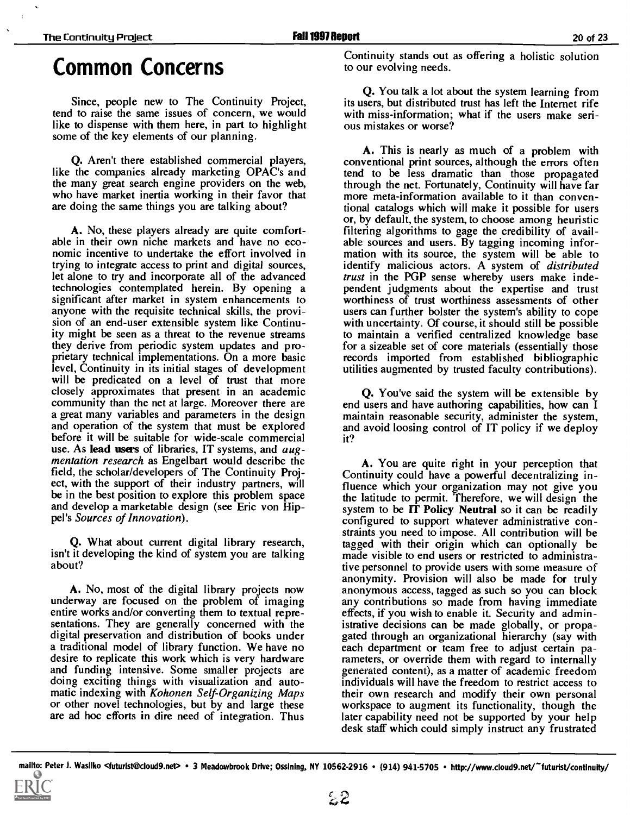### Common Concerns

Since, people new to The Continuity Project, tend to raise the same issues of concern, we would like to dispense with them here, in part to highlight some of the key elements of our planning.

Q. Aren't there established commercial players, like the companies already marketing OPAC's and the many great search engine providers on the web, who have market inertia working in their favor that are doing the same things you are talking about?

A. No, these players already are quite comfort- able in their own niche markets and have no economic incentive to undertake the effort involved in trying to integrate access to print and digital sources, let alone to try and incorporate all of the advanced trust in the PGP sense whereby users make indetechnologies contemplated herein. By opening a pendent judgments about the expertise and trust technologies contemplated herein. By opening a significant after market in system enhancements to anyone with the requisite technical skills, the provision of an end-user extensible system like Continuity might be seen as a threat to the revenue streams they derive from periodic system updates and proprietary technical implementations. On a more basic<br>level, Continuity in its initial stages of development will be predicated on a level of trust that more closely approximates that present in an academic community than the net at large. Moreover there are a great many variables and parameters in the design and operation of the system that must be explored before it will be suitable for wide-scale commercial use. As lead users of libraries, IT systems, and augmentation research as Engelbart would describe the field, the scholar/developers of The Continuity Project, with the support of their industry partners, will be in the best position to explore this problem space and develop a marketable design (see Eric von Hippel's Sources of Innovation).

Q. What about current digital library research, isn't it developing the kind of system you are talking about?

A. No, most of the digital library projects now underway are focused on the problem of imaging entire works and/or converting them to textual representations. They are generally concerned with the digital preservation and distribution of books under a traditional model of library function. We have no desire to replicate this work which is very hardware and funding intensive. Some smaller projects are doing exciting things with visualization and automatic indexing with *Kohonen Self-Organizing Maps* or other novel technologies, but by and large these are ad hoc efforts in dire need of integration. Thus

Continuity stands out as offering a holistic solution to our evolving needs.

Q. You talk a lot about the system learning from its users, but distributed trust has left the Internet rife with miss-information; what if the users make serious mistakes or worse?

A. This is nearly as much of a problem with conventional print sources, although the errors often tend to be less dramatic than those propagated through the net. Fortunately, Continuity will have far more meta-information available to it than conventional catalogs which will make it possible for users or, by default, the system, to choose among heuristic filtering algorithms to gage the credibility of available sources and users. By tagging incoming information with its source, the system will be able to identify malicious actors. A system of *distributed* trust in the PGP sense whereby users make indeworthiness of trust worthiness assessments of other users can further bolster the system's ability to cope with uncertainty. Of course, it should still be possible to maintain a verified centralized knowledge base for a sizeable set of core materials (essentially those records imported from established bibliographic utilities augmented by trusted faculty contributions).

Q. You've said the system will be extensible by end users and have authoring capabilities, how can I maintain reasonable security, administer the system, and avoid loosing control of IT policy if we deploy it?

A. You are quite right in your perception that Continuity could have a powerful decentralizing influence which your organization may not give you the latitude to permit. Therefore, we will design the system to be IT Policy Neutral so it can be readily configured to support whatever administrative constraints you need to impose. All contribution will be tagged with their origin which can optionally be made visible to end users or restricted to administrative personnel to provide users with some measure of anonymity. Provision will also be made for truly anonymous access, tagged as such so you can block any contributions so made from having immediate effects, if you wish to enable it. Security and administrative decisions can be made globally, or propagated through an organizational hierarchy (say with each department or team free to adjust certain parameters, or override them with regard to internally generated content), as a matter of academic freedom individuals will have the freedom to restrict access to their own research and modify their own personal workspace to augment its functionality, though the later capability need not be supported by your help desk staff which could simply instruct any frustrated

mallto: Peter J. Wasilko <futurist@cloud9.net> • 3 Meadowbrook Drive; Ossining, NY 10562-2916 • (914) 941-5705 • http://www.cloud9.net/~futurist/continuity/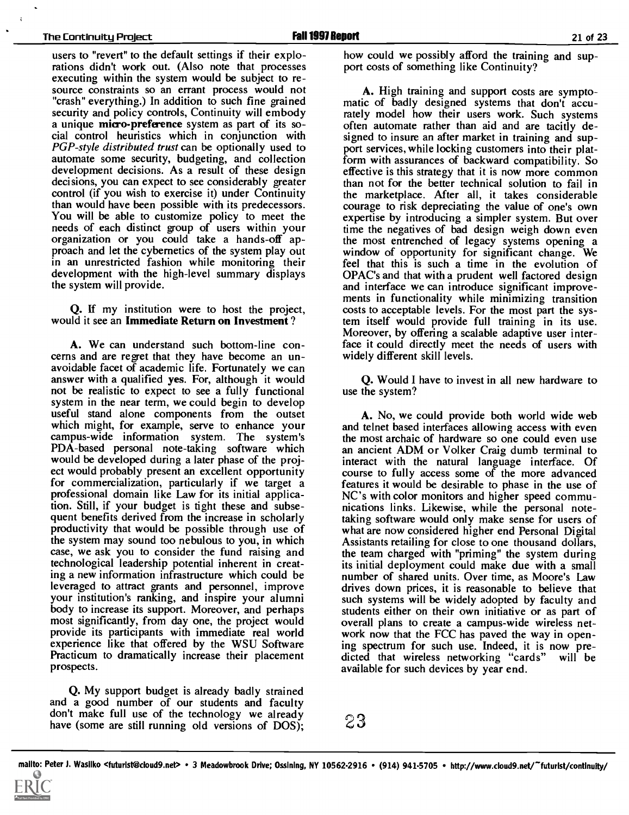users to "revert" to the default settings if their explorations didn't work out. (Also note that processes executing within the system would be subject to re- source constraints so an errant process would not "crash" everything.) In addition to such fine grained security and policy controls, Continuity will embody a unique micro-preference system as part of its social control heuristics which in conjunction with PGP-style distributed trust can be optionally used to automate some security, budgeting, and collection development decisions. As a result of these design decisions, you can expect to see considerably greater control (if you wish to exercise it) under Continuity than would have been possible with its predecessors. You will be able to customize policy to meet the needs of each distinct group of users within your organization or you could take a hands-off approach and let the cybernetics of the system play out in an unrestricted fashion while monitoring their development with the high-level summary displays the system will provide.

Q. If my institution were to host the project, would it see an Immediate Return on Investment ?

A. We can understand such bottom-line concerns and are regret that they have become an unavoidable facet of academic life. Fortunately we can answer with a qualified yes. For, although it would not be realistic to expect to see a fully functional system in the near term, we could begin to develop useful stand alone components from the outset which might, for example, serve to enhance your campus-wide information system. The system's PDA-based personal note-taking software which would be developed during a later phase of the project would probably present an excellent opportunity for commercialization, particularly if we target a professional domain like Law for its initial application. Still, if your budget is tight these and subsequent benefits derived from the increase in scholarly productivity that would be possible through use of the system may sound too nebulous to you, in which case, we ask you to consider the fund raising and technological leadership potential inherent in creating a new information infrastructure which could be leveraged to attract grants and personnel, improve your institution's ranking, and inspire your alumni body to increase its support. Moreover, and perhaps most significantly, from day one, the project would provide its participants with immediate real world experience like that offered by the WSU Software ing spectrum for such use. Indeed, it is now pre-Practicum to dramatically increase their placement prospects.

Q. My support budget is already badly strained and a good number of our students and faculty don't make full use of the technology we already have (some are still running old versions of DOS);

how could we possibly afford the training and support costs of something like Continuity?

A. High training and support costs are sympto- matic of badly designed systems that don't accurately model how their users work. Such systems often automate rather than aid and are tacitly designed to insure an after market in training and support services, while locking customers into their platform with assurances of backward compatibility. So effective is this strategy that it is now more common than not for the better technical solution to fail in the marketplace. After all, it takes considerable courage to risk depreciating the value of one's own expertise by introducing a simpler system. But over time the negatives of bad design weigh down even the most entrenched of legacy systems opening a window of opportunity for significant change. We feel that this is such a time in the evolution of OPAC's and that with a prudent well factored design and interface we can introduce significant improvements in functionality while minimizing transition costs to acceptable levels. For the most part the system itself would provide full training in its use. Moreover, by offering a scalable adaptive user interface it could directly meet the needs of users with widely different skill levels.

Q. Would I have to invest in all new hardware to use the system?

A. No, we could provide both world wide web and telnet based interfaces allowing access with even the most archaic of hardware so one could even use an ancient ADM or Volker Craig dumb terminal to interact with the natural language interface. Of course to fully access some of the more advanced features it would be desirable to phase in the use of NC's with color monitors and higher speed communications links. Likewise, while the personal notetaking software would only make sense for users of what are now considered higher end Personal Digital Assistants retailing for close to one thousand dollars, the team charged with "priming" the system during its initial deployment could make due with a small number of shared units. Over time, as Moore's Law drives down prices, it is reasonable to believe that such systems will be widely adopted by faculty and students either on their own initiative or as part of overall plans to create a campus-wide wireless network now that the FCC has paved the way in opendicted that wireless networking "cards" will be available for such devices by year end.

23

mallto: Peter J. Wasilko <futurist@cloud9.net> • 3 Meadowbrook Drive; Ossining, NY 10562-2916 • (914) 941-5705 • http://www.cloud9.net/"futurist/continuity/

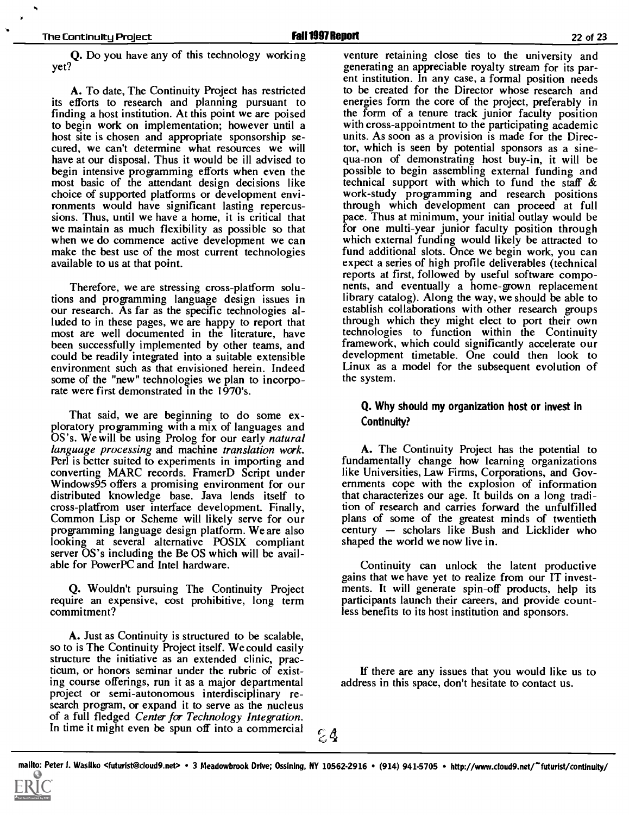Q. Do you have any of this technology working yet?

A. To date, The Continuity Project has restricted its efforts to research and planning pursuant to finding a host institution. At this point we are poised to begin work on implementation; however until a host site is chosen and appropriate sponsorship secured, we can't determine what resources we will have at our disposal. Thus it would be ill advised to qua-non of demonstrating host buy-in, it will be begin intensive programming efforts when even the possible to begin assembling external funding and most basic of the attendant design decisions like choice of supported platforms or development environments would have significant lasting repercussions. Thus, until we have a home, it is critical that we maintain as much flexibility as possible so that when we do commence active development we can make the best use of the most current technologies available to us at that point.

Therefore, we are stressing cross-platform solutions and programming language design issues in our research. As far as the specific technologies alluded to in these pages, we are happy to report that through which they might elect to port their own<br>most are well documented in the literature, have the technologies to function within the Continuity<br>been successfully im been successfully implemented by other teams, and framework, which could significantly accelerate our could be readily integrated into a suitable extensible development timetable. One could then look to could be readily integrated into a suitable extensible environment such as that envisioned herein. Indeed some of the "new" technologies we plan to incorporate were first demonstrated in the 1970's.

That said, we are beginning to do some exploratory programming with a mix of languages and OS's. We will be using Prolog for our early natural language processing and machine translation work. Perl is better suited to experiments in importing and converting MARC records. FramerD Script under Windows95 offers a promising environment for our distributed knowledge base. Java lends itself to cross-platfrom user interface development. Finally, Common Lisp or Scheme will likely serve for our programming language design platform. We are also looking at several alternative POSIX compliant server OS's including the Be OS which will be available for PowerPC and Intel hardware.

Q. Wouldn't pursuing The Continuity Project ments. It will generate spin-off products, help its require an expensive, cost prohibitive, long term participants launch their careers, and provide countcommitment?

A. Just as Continuity is structured to be scalable, so to is The Continuity Project itself. We could easily structure the initiative as an extended clinic, practicum, or honors seminar under the rubric of existing course offerings, run it as a major departmental project or semi-autonomous interdisciplinary research program, or expand it to serve as the nucleus of a full fledged Center for Technology Integration. In time it might even be spun off into a commercial  $\mathbb{C}^4$ 

venture retaining close ties to the university and generating an appreciable royalty stream for its parent institution. In any case, a formal position needs to be created for the Director whose research and energies form the core of the project, preferably in the form of a tenure track junior faculty position with cross-appointment to the participating academic units. As soon as a provision is made for the Director, which is seen by potential sponsors as a sinequa-non of demonstrating host buy-in, it will be technical support with which to fund the staff & work-study programming and research positions through which development can proceed at full pace. Thus at minimum, your initial outlay would be for one multi-year junior faculty position through which external funding would likely be attracted to fund additional slots. Once we begin work, you can expect a series of high profile deliverables (technical nents, and eventually a home-grown replacement library catalog). Along the way, we should be able to establish collaborations with other research groups through which they might elect to port their own technologies to function within the Continuity Linux as a model for the subsequent evolution of the system.

#### Q. Why should my organization host or invest in Continuity?

A. The Continuity Project has the potential to fundamentally change how learning organizations like Universities, Law Firms, Corporations, and Governments cope with the explosion of information that characterizes our age. It builds on a long tradition of research and carries forward the unfulfilled plans of some of the greatest minds of twentieth century  $-$  scholars like Bush and Licklider who shaped the world we now live in.

Continuity can unlock the latent productive gains that we have yet to realize from our IT investparticipants launch their careers, and provide countless benefits to its host institution and sponsors.

If there are any issues that you would like us to address in this space, don't hesitate to contact us.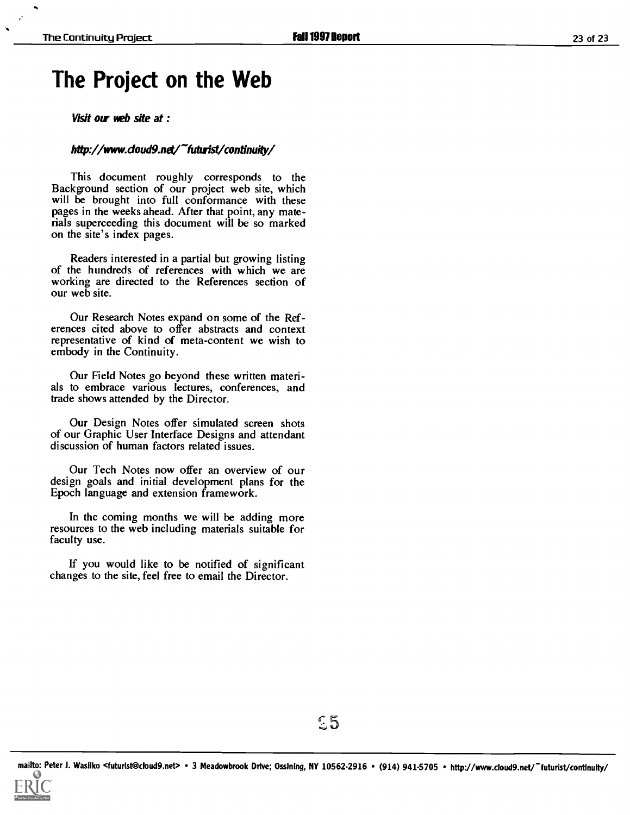### The Project on the Web

Visit our web site at :

#### http://www.doud9.net/"futurist/continuity/

This document roughly corresponds to the Background section of our project web site, which will be brought into full conformance with these pages in the weeks ahead. After that point, any materials superceeding this document will be so marked on the site's index pages.

Readers interested in a partial but growing listing of the hundreds of references with which we are working are directed to the References section of our web site.

Our Research Notes expand on some of the Ref- erences cited above to offer abstracts and context representative of kind of meta-content we wish to embody in the Continuity.

Our Field Notes go beyond these written materials to embrace various lectures, conferences, and trade shows attended by the Director.

Our Design Notes offer simulated screen shots of our Graphic User Interface Designs and attendant discussion of human factors related issues.

Our Tech Notes now offer an overview of our design goals and initial development plans for the Epoch language and extension framework.

In the coming months we will be adding more resources to the web including materials suitable for faculty use.

If you would like to be notified of significant changes to the site, feel free to email the Director.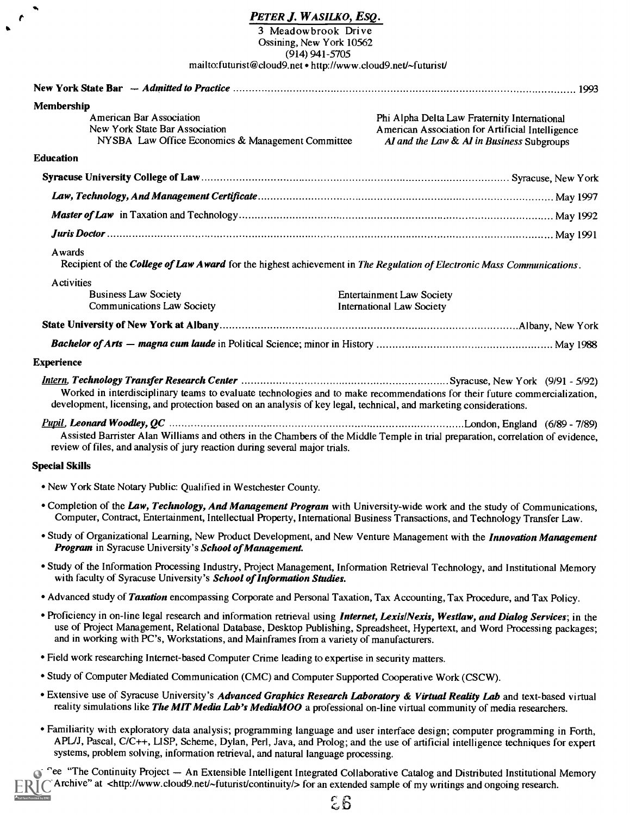#### PETER J. WASILKO, ESQ.

 $\blacktriangleleft$  $\mathbf{r}$  $\bullet$ 

ided by ERIC

3 Meadowbrook Drive Ossining, New York 10562 (914) 941-5705 mailto:futurist@cloud9.net http://www.cloud9.net/-futurist/

| Membership                                                                                                             |                                                                                                                                                                                                                                                                  |
|------------------------------------------------------------------------------------------------------------------------|------------------------------------------------------------------------------------------------------------------------------------------------------------------------------------------------------------------------------------------------------------------|
| <b>American Bar Association</b><br>New York State Bar Association<br>NYSBA Law Office Economics & Management Committee | Phi Alpha Delta Law Fraternity International<br>American Association for Artificial Intelligence<br>AI and the Law & AI in Business Subgroups                                                                                                                    |
| <b>Education</b>                                                                                                       |                                                                                                                                                                                                                                                                  |
|                                                                                                                        |                                                                                                                                                                                                                                                                  |
|                                                                                                                        |                                                                                                                                                                                                                                                                  |
|                                                                                                                        |                                                                                                                                                                                                                                                                  |
|                                                                                                                        |                                                                                                                                                                                                                                                                  |
| Awards                                                                                                                 | Recipient of the College of Law Award for the highest achievement in The Regulation of Electronic Mass Communications.                                                                                                                                           |
| Activities<br><b>Business Law Society</b><br><b>Communications Law Society</b>                                         | <b>Entertainment Law Society</b><br><b>International Law Society</b>                                                                                                                                                                                             |
|                                                                                                                        |                                                                                                                                                                                                                                                                  |
|                                                                                                                        |                                                                                                                                                                                                                                                                  |
| <b>Experience</b>                                                                                                      |                                                                                                                                                                                                                                                                  |
|                                                                                                                        | Worked in interdisciplinary teams to evaluate technologies and to make recommendations for their future commercialization,<br>development, licensing, and protection based on an analysis of key legal, technical, and marketing considerations.                 |
| review of files, and analysis of jury reaction during several major trials.                                            | Assisted Barrister Alan Williams and others in the Chambers of the Middle Temple in trial preparation, correlation of evidence,                                                                                                                                  |
| <b>Special Skills</b>                                                                                                  |                                                                                                                                                                                                                                                                  |
| • New York State Notary Public: Qualified in Westchester County.                                                       |                                                                                                                                                                                                                                                                  |
|                                                                                                                        | • Completion of the Law, Technology, And Management Program with University-wide work and the study of Communications,<br>Computer, Contract, Entertainment, Intellectual Property, International Business Transactions, and Technology Transfer Law.            |
| Program in Syracuse University's School of Management.                                                                 | • Study of Organizational Learning, New Product Development, and New Venture Management with the Innovation Management                                                                                                                                           |
| with faculty of Syracuse University's School of Information Studies.                                                   | • Study of the Information Processing Industry, Project Management, Information Retrieval Technology, and Institutional Memory                                                                                                                                   |
|                                                                                                                        | • Advanced study of Taxation encompassing Corporate and Personal Taxation, Tax Accounting, Tax Procedure, and Tax Policy.                                                                                                                                        |
| and in working with PC's, Workstations, and Mainframes from a variety of manufacturers.                                | · Proficiency in on-line legal research and information retrieval using Internet, Lexis/Nexis, Westlaw, and Dialog Services; in the<br>use of Project Management, Relational Database, Desktop Publishing, Spreadsheet, Hypertext, and Word Processing packages; |
| • Field work researching Internet-based Computer Crime leading to expertise in security matters.                       |                                                                                                                                                                                                                                                                  |
| • Study of Computer Mediated Communication (CMC) and Computer Supported Cooperative Work (CSCW).                       |                                                                                                                                                                                                                                                                  |
|                                                                                                                        | • Extensive use of Syracuse University's Advanced Graphics Research Laboratory & Virtual Reality Lab and text-based virtual<br>reality simulations like The MIT Media Lab's MediaMOO a professional on-line virtual community of media researchers.              |
| systems, problem solving, information retrieval, and natural language processing.                                      | · Familiarity with exploratory data analysis; programming language and user interface design; computer programming in Forth,<br>APL/J, Pascal, C/C++, LISP, Scheme, Dylan, Perl, Java, and Prolog; and the use of artificial intelligence techniques for expert  |
|                                                                                                                        | <sup>c</sup> ee "The Continuity Project - An Extensible Intelligent Integrated Collaborative Catalog and Distributed Institutional Memory                                                                                                                        |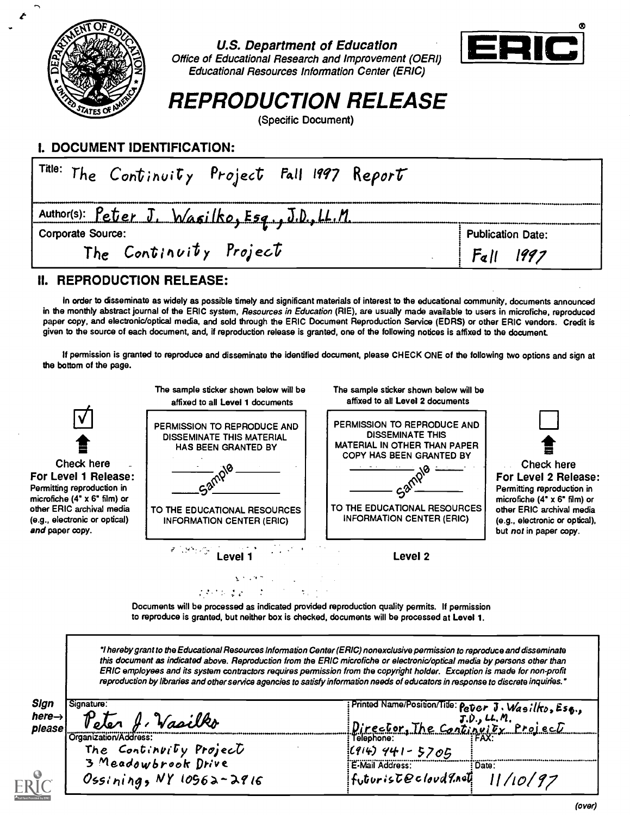

U.S. Department of Education



Office of Educational Research and Improvement (OERI) Educational Resources Information Center (ERIC)

REPRODUCTION RELEASE

(Specific Document)

### I. DOCUMENT IDENTIFICATION:

| $\mathbf{F}^{\textsf{title:}}$ The Continuity Project Fall 1997 Report |                          |
|------------------------------------------------------------------------|--------------------------|
| Author(s): Peter J. Wasilko, Esq., J.D., LL.M.                         |                          |
| <b>Corporate Source:</b>                                               | <b>Publication Date:</b> |
| The Continuity Project                                                 | F <sub>a</sub>           |

### II. REPRODUCTION RELEASE:

In order to disseminate as widely as possible timely and significant materials of interest to the educational community, documents announced in the monthly abstract journal of the ERIC system, Resources in Education (RIE), are usually made available to users in microfiche, reproduced paper copy, and electronic/optical media, and sold through the ERIC Document Reproduction Service (EDRS) or other ERIC vendors. Credit is given to the source of each document, and, if reproduction release is granted, one of the following notices is affixed to the document.

If permission is granted to reproduce and disseminate the identified document, please CHECK ONE of the following two options and sign at the bottom of the page.



Documents will be processed as indicated provided reproduction quality permits. If permission to reproduce is granted, but neither box is checked, documents will be processed at Level 1.

1 hereby grant to the Educational Resources Information Center (ERIC) nonexclusive permission to reproduce and disseminate this document as indicated above. Reproduction from the ERIC microfiche or electronic/optical media by persons other than ERIC employees and its system contractors requires permission from the copyright holder. Exception is made for non-profit reproduction by libraries and other service agencies to satisfy information needs of educators in response to discrete inquiries.'

| Sign<br>Signature:                      | Printed Name/Position/Title: Peter J. Wasilko, Esq., |
|-----------------------------------------|------------------------------------------------------|
| here $\rightarrow$<br>Vasilko<br>please | J.D., LL. M.<br>The Continuity Project<br>Director.  |
| Crganization/Address:                   | Telephone:                                           |
| The Continuity Project                  | $(914)$ 441 - 5705                                   |
| 3 Meadowbrook Drive                     | E-Mail Address:<br>: Date:                           |
| Ossining, $NY$ 10962-2916               | futurist@cloud9.not                                  |